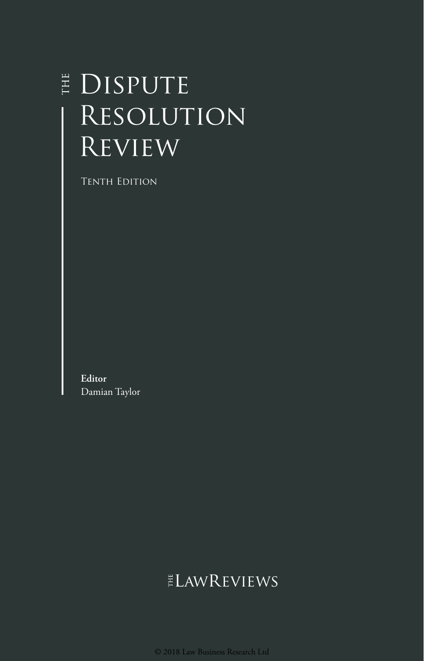# E DISPUTE Resolution **REVIEW**

Tenth Edition

**Editor** Damian Taylor

## **ELAWREVIEWS**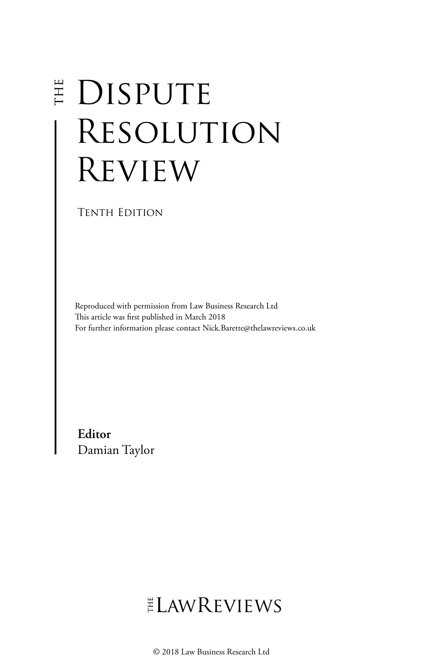# E DISPUTE Resolution Review

Tenth Edition

Reproduced with permission from Law Business Research Ltd This article was first published in March 2018 For further information please contact Nick.Barette@thelawreviews.co.uk

**Editor** Damian Taylor

# ELAWREVIEWS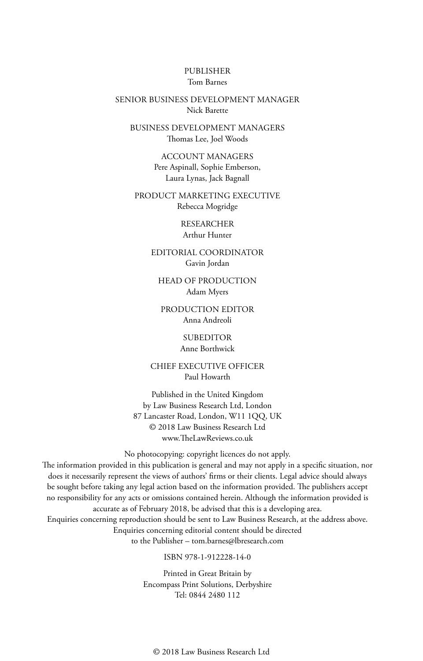#### PUBLISHER Tom Barnes

#### SENIOR BUSINESS DEVELOPMENT MANAGER Nick Barette

BUSINESS DEVELOPMENT MANAGERS Thomas Lee, Joel Woods

> ACCOUNT MANAGERS Pere Aspinall, Sophie Emberson, Laura Lynas, Jack Bagnall

PRODUCT MARKETING EXECUTIVE Rebecca Mogridge

> RESEARCHER Arthur Hunter

EDITORIAL COORDINATOR Gavin Jordan

HEAD OF PRODUCTION Adam Myers

PRODUCTION EDITOR Anna Andreoli

> SUBEDITOR Anne Borthwick

CHIEF EXECUTIVE OFFICER Paul Howarth

Published in the United Kingdom by Law Business Research Ltd, London 87 Lancaster Road, London, W11 1QQ, UK © 2018 Law Business Research Ltd www.TheLawReviews.co.uk

No photocopying: copyright licences do not apply.

The information provided in this publication is general and may not apply in a specific situation, nor does it necessarily represent the views of authors' firms or their clients. Legal advice should always be sought before taking any legal action based on the information provided. The publishers accept no responsibility for any acts or omissions contained herein. Although the information provided is accurate as of February 2018, be advised that this is a developing area.

Enquiries concerning reproduction should be sent to Law Business Research, at the address above. Enquiries concerning editorial content should be directed to the Publisher – tom.barnes@lbresearch.com

#### ISBN 978-1-912228-14-0

Printed in Great Britain by Encompass Print Solutions, Derbyshire Tel: 0844 2480 112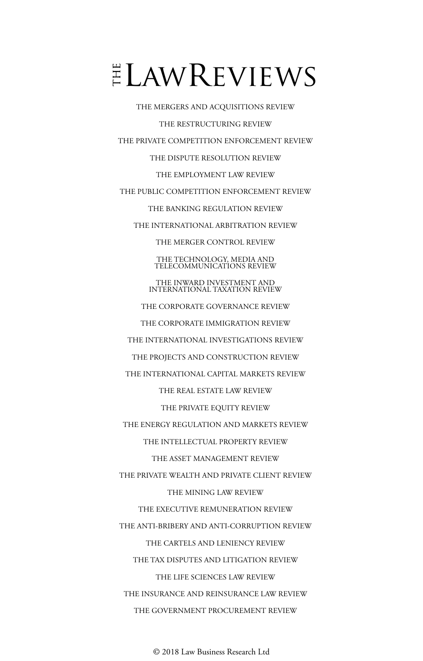# $E$ LAWREVIEWS

THE MERGERS AND ACQUISITIONS REVIEW THE RESTRUCTURING REVIEW THE PRIVATE COMPETITION ENFORCEMENT REVIEW THE DISPUTE RESOLUTION REVIEW THE EMPLOYMENT LAW REVIEW THE PUBLIC COMPETITION ENFORCEMENT REVIEW THE BANKING REGULATION REVIEW THE INTERNATIONAL ARBITRATION REVIEW THE MERGER CONTROL REVIEW THE TECHNOLOGY, MEDIA AND TELECOMMUNICATIONS REVIEW THE INWARD INVESTMENT AND INTERNATIONAL TAXATION REVIEW THE CORPORATE GOVERNANCE REVIEW THE CORPORATE IMMIGRATION REVIEW THE INTERNATIONAL INVESTIGATIONS REVIEW THE PROJECTS AND CONSTRUCTION REVIEW THE INTERNATIONAL CAPITAL MARKETS REVIEW THE REAL ESTATE LAW REVIEW THE PRIVATE EQUITY REVIEW THE ENERGY REGULATION AND MARKETS REVIEW THE INTELLECTUAL PROPERTY REVIEW THE ASSET MANAGEMENT REVIEW THE PRIVATE WEALTH AND PRIVATE CLIENT REVIEW THE MINING LAW REVIEW THE EXECUTIVE REMUNERATION REVIEW THE ANTI-BRIBERY AND ANTI-CORRUPTION REVIEW THE CARTELS AND LENIENCY REVIEW THE TAX DISPUTES AND LITIGATION REVIEW THE LIFE SCIENCES LAW REVIEW THE INSURANCE AND REINSURANCE LAW REVIEW THE GOVERNMENT PROCUREMENT REVIEW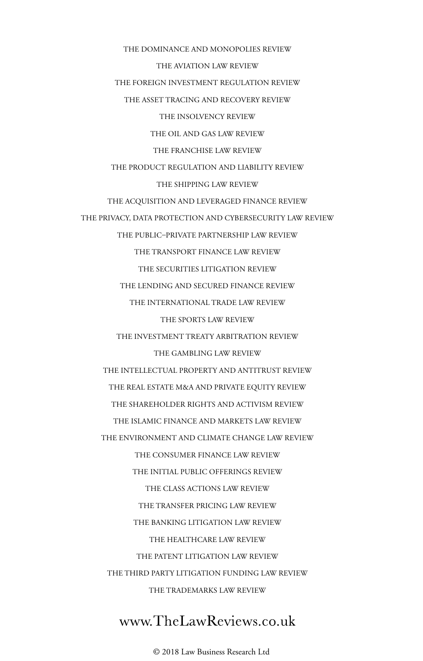THE DOMINANCE AND MONOPOLIES REVIEW THE AVIATION LAW REVIEW THE FOREIGN INVESTMENT REGULATION REVIEW THE ASSET TRACING AND RECOVERY REVIEW THE INSOLVENCY REVIEW THE OIL AND GAS LAW REVIEW THE FRANCHISE LAW REVIEW THE PRODUCT REGULATION AND LIABILITY REVIEW THE SHIPPING LAW REVIEW THE ACQUISITION AND LEVERAGED FINANCE REVIEW THE PRIVACY, DATA PROTECTION AND CYBERSECURITY LAW REVIEW THE PUBLIC–PRIVATE PARTNERSHIP LAW REVIEW THE TRANSPORT FINANCE LAW REVIEW THE SECURITIES LITIGATION REVIEW THE LENDING AND SECURED FINANCE REVIEW THE INTERNATIONAL TRADE LAW REVIEW THE SPORTS LAW REVIEW THE INVESTMENT TREATY ARBITRATION REVIEW THE GAMBLING LAW REVIEW THE INTELLECTUAL PROPERTY AND ANTITRUST REVIEW THE REAL ESTATE M&A AND PRIVATE EQUITY REVIEW THE SHAREHOLDER RIGHTS AND ACTIVISM REVIEW THE ISLAMIC FINANCE AND MARKETS LAW REVIEW THE ENVIRONMENT AND CLIMATE CHANGE LAW REVIEW THE CONSUMER FINANCE LAW REVIEW THE INITIAL PUBLIC OFFERINGS REVIEW THE CLASS ACTIONS LAW REVIEW THE TRANSFER PRICING LAW REVIEW THE BANKING LITIGATION LAW REVIEW THE HEALTHCARE LAW REVIEW THE PATENT LITIGATION LAW REVIEW THE THIRD PARTY LITIGATION FUNDING LAW REVIEW THE TRADEMARKS LAW REVIEW

### www.TheLawReviews.co.uk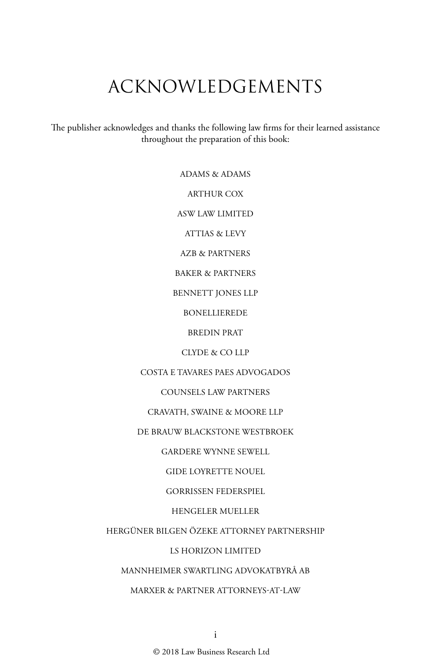# ACKNOWLEDGEMENTS

The publisher acknowledges and thanks the following law firms for their learned assistance throughout the preparation of this book:

ADAMS & ADAMS

ARTHUR COX

ASW LAW LIMITED

ATTIAS & LEVY

AZB & PARTNERS

BAKER & PARTNERS

BENNETT JONES LLP

BONELLIEREDE

BREDIN PRAT

CLYDE & CO LLP

COSTA E TAVARES PAES ADVOGADOS

COUNSELS LAW PARTNERS

CRAVATH, SWAINE & MOORE LLP

DE BRAUW BLACKSTONE WESTBROEK

GARDERE WYNNE SEWELL

GIDE LOYRETTE NOUEL

GORRISSEN FEDERSPIEL

HENGELER MUELLER

HERGÜNER BILGEN ÖZEKE ATTORNEY PARTNERSHIP

LS HORIZON LIMITED

MANNHEIMER SWARTLING ADVOKATBYRÅ AB

MARXER & PARTNER ATTORNEYS-AT-LAW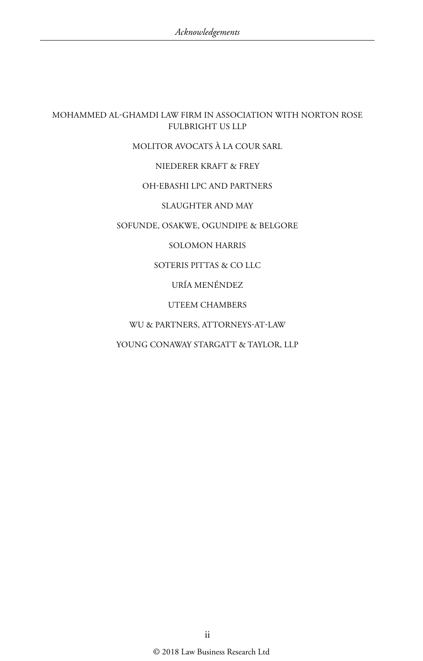#### MOHAMMED AL-GHAMDI LAW FIRM IN ASSOCIATION WITH NORTON ROSE FULBRIGHT US LLP

#### MOLITOR AVOCATS À LA COUR SARL

#### NIEDERER KRAFT & FREY

#### OH-EBASHI LPC AND PARTNERS

#### SLAUGHTER AND MAY

#### SOFUNDE, OSAKWE, OGUNDIPE & BELGORE

#### SOLOMON HARRIS

#### SOTERIS PITTAS & CO LLC

#### URÍA MENÉNDEZ

#### UTEEM CHAMBERS

#### WU & PARTNERS, ATTORNEYS-AT-LAW

#### YOUNG CONAWAY STARGATT & TAYLOR, LLP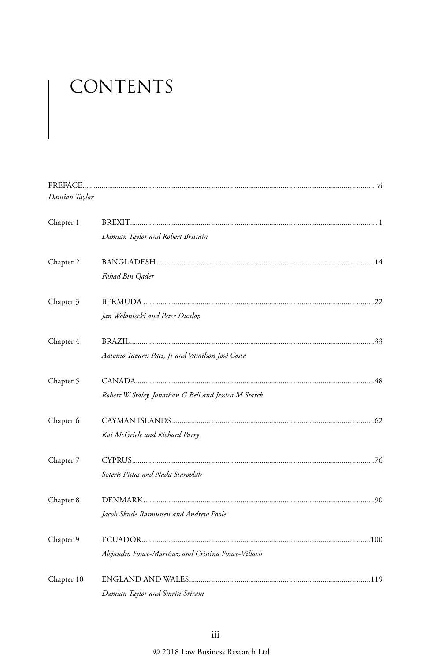# CONTENTS

| Damian Taylor |                                                       |
|---------------|-------------------------------------------------------|
| Chapter 1     |                                                       |
|               | Damian Taylor and Robert Brittain                     |
| Chapter 2     |                                                       |
|               | Fahad Bin Qader                                       |
| Chapter 3     |                                                       |
|               | Jan Woloniecki and Peter Dunlop                       |
| Chapter 4     |                                                       |
|               | Antonio Tavares Paes, Jr and Vamilson José Costa      |
| Chapter 5     |                                                       |
|               | Robert W Staley, Jonathan G Bell and Jessica M Starck |
| Chapter 6     |                                                       |
|               | Kai McGriele and Richard Parry                        |
| Chapter 7     |                                                       |
|               | Soteris Pittas and Nada Starovlah                     |
| Chapter 8     |                                                       |
|               | Jacob Skude Rasmussen and Andrew Poole                |
| Chapter 9     |                                                       |
|               | Alejandro Ponce-Martínez and Cristina Ponce-Villacis  |
| Chapter 10    |                                                       |
|               | Damian Taylor and Smriti Sriram                       |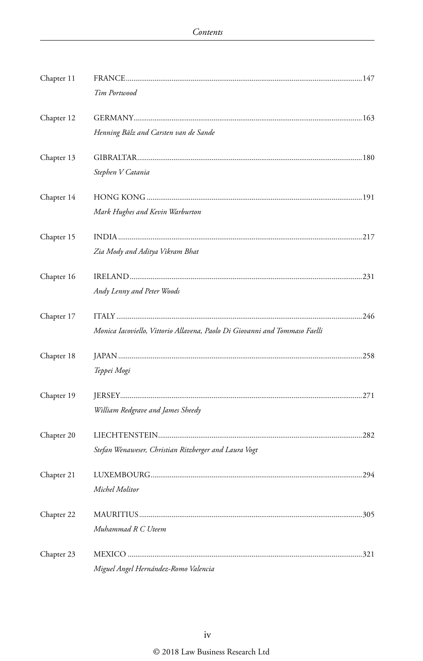| Chapter 11 |                                                                            |      |
|------------|----------------------------------------------------------------------------|------|
|            | Tim Portwood                                                               |      |
| Chapter 12 |                                                                            |      |
|            | Henning Bälz and Carsten van de Sande                                      |      |
| Chapter 13 |                                                                            |      |
|            | Stephen V Catania                                                          |      |
| Chapter 14 |                                                                            |      |
|            | Mark Hughes and Kevin Warburton                                            |      |
| Chapter 15 |                                                                            |      |
|            | Zia Mody and Aditya Vikram Bhat                                            |      |
| Chapter 16 |                                                                            |      |
|            | Andy Lenny and Peter Woods                                                 |      |
| Chapter 17 |                                                                            |      |
|            | Monica Iacoviello, Vittorio Allavena, Paolo Di Giovanni and Tommaso Faelli |      |
| Chapter 18 |                                                                            |      |
|            | Teppei Mogi                                                                |      |
| Chapter 19 |                                                                            |      |
|            | William Redgrave and James Sheedy                                          |      |
| Chapter 20 |                                                                            |      |
|            | Stefan Wenaweser, Christian Ritzberger and Laura Vogt                      |      |
| Chapter 21 |                                                                            |      |
|            | Michel Molitor                                                             |      |
| Chapter 22 |                                                                            | .305 |
|            | Muhammad R C Uteem                                                         |      |
| Chapter 23 |                                                                            |      |
|            | Miguel Angel Hernández-Romo Valencia                                       |      |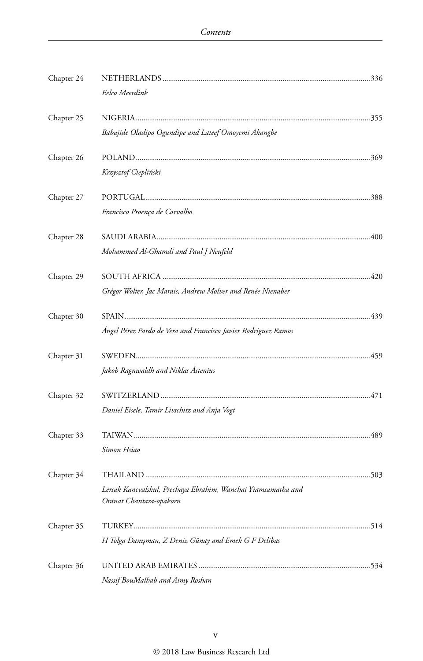| Chapter 24 |                                                                                          |  |
|------------|------------------------------------------------------------------------------------------|--|
|            | Eelco Meerdink                                                                           |  |
| Chapter 25 |                                                                                          |  |
|            | Babajide Oladipo Ogundipe and Lateef Omoyemi Akangbe                                     |  |
| Chapter 26 |                                                                                          |  |
|            | Krzysztof Ciepliński                                                                     |  |
| Chapter 27 |                                                                                          |  |
|            | Francisco Proença de Carvalho                                                            |  |
| Chapter 28 |                                                                                          |  |
|            | Mohammed Al-Ghamdi and Paul J Neufeld                                                    |  |
| Chapter 29 |                                                                                          |  |
|            | Grégor Wolter, Jac Marais, Andrew Molver and Renée Nienaber                              |  |
| Chapter 30 |                                                                                          |  |
|            | Ángel Pérez Pardo de Vera and Francisco Javier Rodríguez Ramos                           |  |
| Chapter 31 |                                                                                          |  |
|            | Jakob Ragnwaldh and Niklas Åstenius                                                      |  |
| Chapter 32 |                                                                                          |  |
|            | Daniel Eisele, Tamir Livschitz and Anja Vogt                                             |  |
| Chapter 33 |                                                                                          |  |
|            | Simon Hsiao                                                                              |  |
| Chapter 34 |                                                                                          |  |
|            | Lersak Kancvalskul, Prechaya Ebrahim, Wanchai Yiamsamatha and<br>Oranat Chantara-opakorn |  |
|            |                                                                                          |  |
| Chapter 35 |                                                                                          |  |
|            | H Tolga Danışman, Z Deniz Günay and Emek G F Delibas                                     |  |
| Chapter 36 |                                                                                          |  |
|            | Nassif BouMalhab and Aimy Roshan                                                         |  |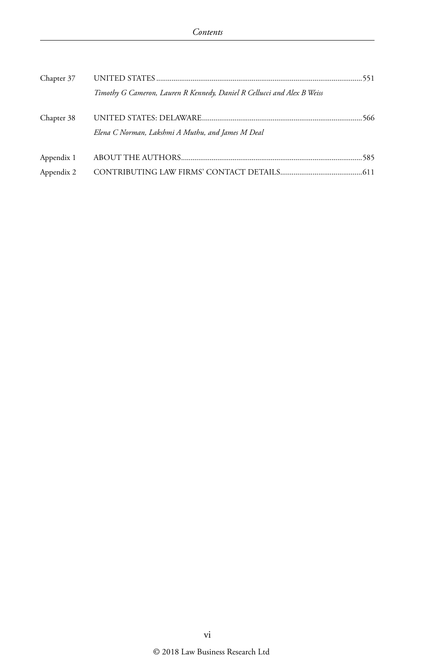| Chapter 37 |                                                                         |  |
|------------|-------------------------------------------------------------------------|--|
|            | Timothy G Cameron, Lauren R Kennedy, Daniel R Cellucci and Alex B Weiss |  |
| Chapter 38 | Elena C Norman, Lakshmi A Muthu, and James M Deal                       |  |
| Appendix 1 |                                                                         |  |
| Appendix 2 |                                                                         |  |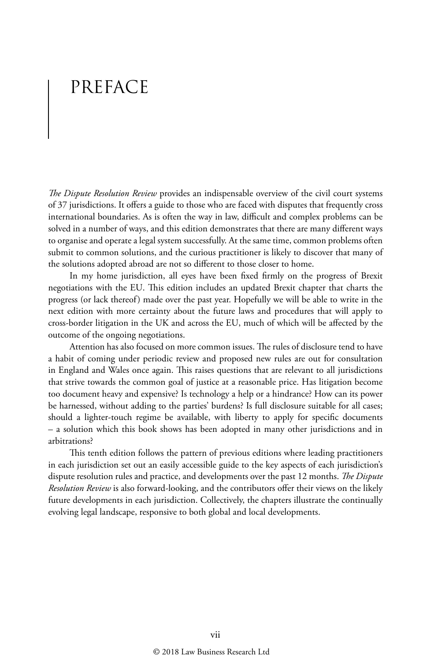# PREFACE

*The Dispute Resolution Review* provides an indispensable overview of the civil court systems of 37 jurisdictions. It offers a guide to those who are faced with disputes that frequently cross international boundaries. As is often the way in law, difficult and complex problems can be solved in a number of ways, and this edition demonstrates that there are many different ways to organise and operate a legal system successfully. At the same time, common problems often submit to common solutions, and the curious practitioner is likely to discover that many of the solutions adopted abroad are not so different to those closer to home.

In my home jurisdiction, all eyes have been fixed firmly on the progress of Brexit negotiations with the EU. This edition includes an updated Brexit chapter that charts the progress (or lack thereof) made over the past year. Hopefully we will be able to write in the next edition with more certainty about the future laws and procedures that will apply to cross-border litigation in the UK and across the EU, much of which will be affected by the outcome of the ongoing negotiations.

Attention has also focused on more common issues. The rules of disclosure tend to have a habit of coming under periodic review and proposed new rules are out for consultation in England and Wales once again. This raises questions that are relevant to all jurisdictions that strive towards the common goal of justice at a reasonable price. Has litigation become too document heavy and expensive? Is technology a help or a hindrance? How can its power be harnessed, without adding to the parties' burdens? Is full disclosure suitable for all cases; should a lighter-touch regime be available, with liberty to apply for specific documents – a solution which this book shows has been adopted in many other jurisdictions and in arbitrations?

This tenth edition follows the pattern of previous editions where leading practitioners in each jurisdiction set out an easily accessible guide to the key aspects of each jurisdiction's dispute resolution rules and practice, and developments over the past 12 months. *The Dispute Resolution Review* is also forward-looking, and the contributors offer their views on the likely future developments in each jurisdiction. Collectively, the chapters illustrate the continually evolving legal landscape, responsive to both global and local developments.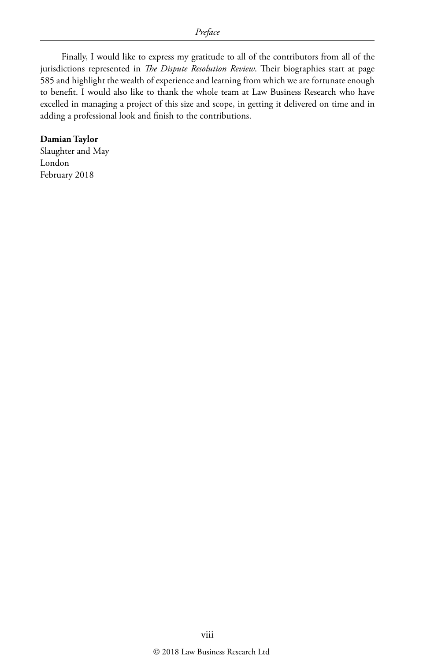Finally, I would like to express my gratitude to all of the contributors from all of the jurisdictions represented in *The Dispute Resolution Review*. Their biographies start at page 585 and highlight the wealth of experience and learning from which we are fortunate enough to benefit. I would also like to thank the whole team at Law Business Research who have excelled in managing a project of this size and scope, in getting it delivered on time and in adding a professional look and finish to the contributions.

#### **Damian Taylor**

Slaughter and May London February 2018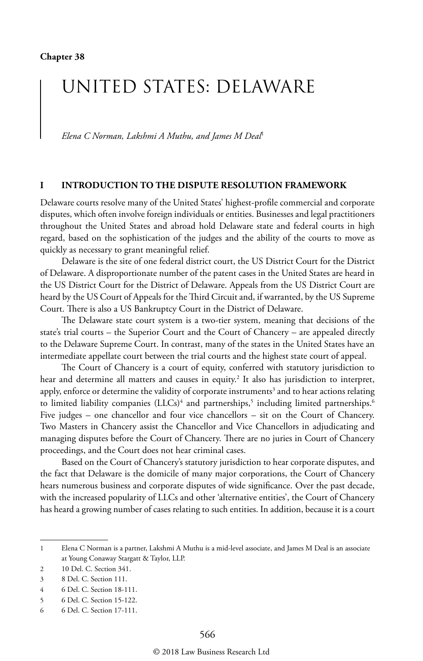# UNITED STATES: DELAWARE

*Elena C Norman, Lakshmi A Muthu, and James M Deal*<sup>1</sup>

#### **I INTRODUCTION TO THE DISPUTE RESOLUTION FRAMEWORK**

Delaware courts resolve many of the United States' highest-profile commercial and corporate disputes, which often involve foreign individuals or entities. Businesses and legal practitioners throughout the United States and abroad hold Delaware state and federal courts in high regard, based on the sophistication of the judges and the ability of the courts to move as quickly as necessary to grant meaningful relief.

Delaware is the site of one federal district court, the US District Court for the District of Delaware. A disproportionate number of the patent cases in the United States are heard in the US District Court for the District of Delaware. Appeals from the US District Court are heard by the US Court of Appeals for the Third Circuit and, if warranted, by the US Supreme Court. There is also a US Bankruptcy Court in the District of Delaware.

The Delaware state court system is a two-tier system, meaning that decisions of the state's trial courts – the Superior Court and the Court of Chancery – are appealed directly to the Delaware Supreme Court. In contrast, many of the states in the United States have an intermediate appellate court between the trial courts and the highest state court of appeal.

The Court of Chancery is a court of equity, conferred with statutory jurisdiction to hear and determine all matters and causes in equity.<sup>2</sup> It also has jurisdiction to interpret, apply, enforce or determine the validity of corporate instruments $^3$  and to hear actions relating to limited liability companies (LLCs)<sup>4</sup> and partnerships,<sup>5</sup> including limited partnerships.<sup>6</sup> Five judges – one chancellor and four vice chancellors – sit on the Court of Chancery. Two Masters in Chancery assist the Chancellor and Vice Chancellors in adjudicating and managing disputes before the Court of Chancery. There are no juries in Court of Chancery proceedings, and the Court does not hear criminal cases.

Based on the Court of Chancery's statutory jurisdiction to hear corporate disputes, and the fact that Delaware is the domicile of many major corporations, the Court of Chancery hears numerous business and corporate disputes of wide significance. Over the past decade, with the increased popularity of LLCs and other 'alternative entities', the Court of Chancery has heard a growing number of cases relating to such entities. In addition, because it is a court

<sup>1</sup> Elena C Norman is a partner, Lakshmi A Muthu is a mid-level associate, and James M Deal is an associate at Young Conaway Stargatt & Taylor, LLP.

<sup>2</sup> 10 Del. C. Section 341.

<sup>3</sup> 8 Del. C. Section 111.

<sup>4</sup> 6 Del. C. Section 18-111.

<sup>5</sup> 6 Del. C. Section 15-122.

<sup>6</sup> 6 Del. C. Section 17-111.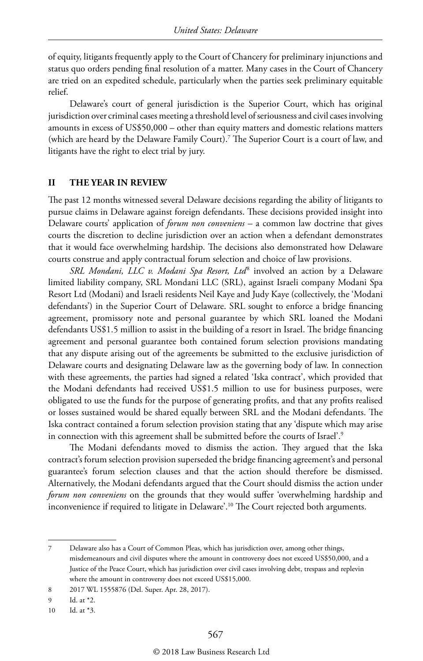of equity, litigants frequently apply to the Court of Chancery for preliminary injunctions and status quo orders pending final resolution of a matter. Many cases in the Court of Chancery are tried on an expedited schedule, particularly when the parties seek preliminary equitable relief.

Delaware's court of general jurisdiction is the Superior Court, which has original jurisdiction over criminal cases meeting a threshold level of seriousness and civil cases involving amounts in excess of US\$50,000 – other than equity matters and domestic relations matters (which are heard by the Delaware Family Court).7 The Superior Court is a court of law, and litigants have the right to elect trial by jury.

#### **II THE YEAR IN REVIEW**

The past 12 months witnessed several Delaware decisions regarding the ability of litigants to pursue claims in Delaware against foreign defendants. These decisions provided insight into Delaware courts' application of *forum non conveniens* – a common law doctrine that gives courts the discretion to decline jurisdiction over an action when a defendant demonstrates that it would face overwhelming hardship. The decisions also demonstrated how Delaware courts construe and apply contractual forum selection and choice of law provisions.

*SRL Mondani, LLC v. Modani Spa Resort, Ltd*8 involved an action by a Delaware limited liability company, SRL Mondani LLC (SRL), against Israeli company Modani Spa Resort Ltd (Modani) and Israeli residents Neil Kaye and Judy Kaye (collectively, the 'Modani defendants') in the Superior Court of Delaware. SRL sought to enforce a bridge financing agreement, promissory note and personal guarantee by which SRL loaned the Modani defendants US\$1.5 million to assist in the building of a resort in Israel. The bridge financing agreement and personal guarantee both contained forum selection provisions mandating that any dispute arising out of the agreements be submitted to the exclusive jurisdiction of Delaware courts and designating Delaware law as the governing body of law. In connection with these agreements, the parties had signed a related 'Iska contract', which provided that the Modani defendants had received US\$1.5 million to use for business purposes, were obligated to use the funds for the purpose of generating profits, and that any profits realised or losses sustained would be shared equally between SRL and the Modani defendants. The Iska contract contained a forum selection provision stating that any 'dispute which may arise in connection with this agreement shall be submitted before the courts of Israel'.<sup>9</sup>

The Modani defendants moved to dismiss the action. They argued that the Iska contract's forum selection provision superseded the bridge financing agreement's and personal guarantee's forum selection clauses and that the action should therefore be dismissed. Alternatively, the Modani defendants argued that the Court should dismiss the action under *forum non conveniens* on the grounds that they would suffer 'overwhelming hardship and inconvenience if required to litigate in Delaware'.10 The Court rejected both arguments.

7 Delaware also has a Court of Common Pleas, which has jurisdiction over, among other things, misdemeanours and civil disputes where the amount in controversy does not exceed US\$50,000, and a Justice of the Peace Court, which has jurisdiction over civil cases involving debt, trespass and replevin where the amount in controversy does not exceed US\$15,000.

<sup>8</sup> 2017 WL 1555876 (Del. Super. Apr. 28, 2017).

<sup>9</sup> Id. at \*2.

<sup>10</sup> Id. at \*3.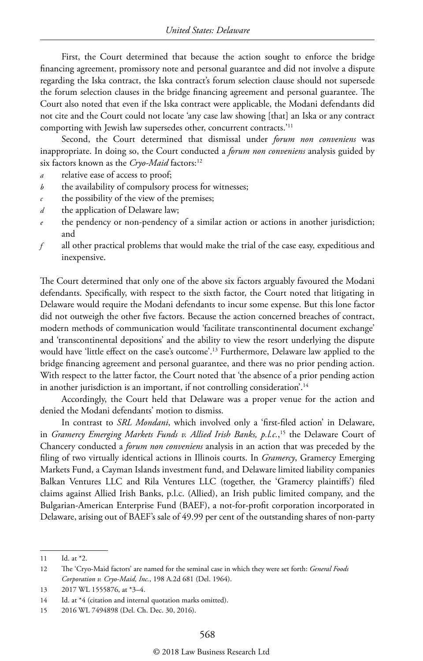First, the Court determined that because the action sought to enforce the bridge financing agreement, promissory note and personal guarantee and did not involve a dispute regarding the Iska contract, the Iska contract's forum selection clause should not supersede the forum selection clauses in the bridge financing agreement and personal guarantee. The Court also noted that even if the Iska contract were applicable, the Modani defendants did not cite and the Court could not locate 'any case law showing [that] an Iska or any contract comporting with Jewish law supersedes other, concurrent contracts.'11

Second, the Court determined that dismissal under *forum non conveniens* was inappropriate. In doing so, the Court conducted a *forum non conveniens* analysis guided by six factors known as the *Cryo-Maid* factors:<sup>12</sup>

- *a* relative ease of access to proof;
- *b* the availability of compulsory process for witnesses;
- *c* the possibility of the view of the premises;
- *d* the application of Delaware law;
- *e* the pendency or non-pendency of a similar action or actions in another jurisdiction; and
- *f* all other practical problems that would make the trial of the case easy, expeditious and inexpensive.

The Court determined that only one of the above six factors arguably favoured the Modani defendants. Specifically, with respect to the sixth factor, the Court noted that litigating in Delaware would require the Modani defendants to incur some expense. But this lone factor did not outweigh the other five factors. Because the action concerned breaches of contract, modern methods of communication would 'facilitate transcontinental document exchange' and 'transcontinental depositions' and the ability to view the resort underlying the dispute would have 'little effect on the case's outcome'.13 Furthermore, Delaware law applied to the bridge financing agreement and personal guarantee, and there was no prior pending action. With respect to the latter factor, the Court noted that 'the absence of a prior pending action in another jurisdiction is an important, if not controlling consideration'.<sup>14</sup>

Accordingly, the Court held that Delaware was a proper venue for the action and denied the Modani defendants' motion to dismiss.

In contrast to *SRL Mondani*, which involved only a 'first-filed action' in Delaware, in *Gramercy Emerging Markets Funds v. Allied Irish Banks, p.l.c.*, 15 the Delaware Court of Chancery conducted a *forum non conveniens* analysis in an action that was preceded by the filing of two virtually identical actions in Illinois courts. In *Gramercy*, Gramercy Emerging Markets Fund, a Cayman Islands investment fund, and Delaware limited liability companies Balkan Ventures LLC and Rila Ventures LLC (together, the 'Gramercy plaintiffs') filed claims against Allied Irish Banks, p.l.c. (Allied), an Irish public limited company, and the Bulgarian-American Enterprise Fund (BAEF), a not-for-profit corporation incorporated in Delaware, arising out of BAEF's sale of 49.99 per cent of the outstanding shares of non-party

<sup>11</sup> Id. at \*2.

<sup>12</sup> The 'Cryo-Maid factors' are named for the seminal case in which they were set forth: *General Foods Corporation v. Cryo-Maid, Inc.*, 198 A.2d 681 (Del. 1964).

<sup>13</sup> 2017 WL 1555876, at \*3–4.

<sup>14</sup> Id. at \*4 (citation and internal quotation marks omitted).

<sup>15</sup> 2016 WL 7494898 (Del. Ch. Dec. 30, 2016).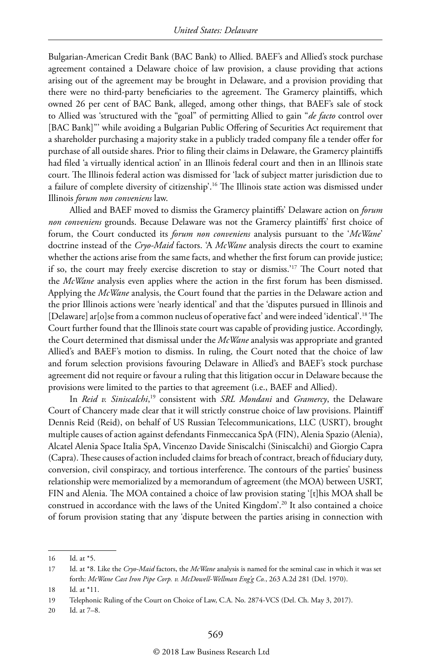Bulgarian-American Credit Bank (BAC Bank) to Allied. BAEF's and Allied's stock purchase agreement contained a Delaware choice of law provision, a clause providing that actions arising out of the agreement may be brought in Delaware, and a provision providing that there were no third-party beneficiaries to the agreement. The Gramercy plaintiffs, which owned 26 per cent of BAC Bank, alleged, among other things, that BAEF's sale of stock to Allied was 'structured with the "goal" of permitting Allied to gain "*de facto* control over [BAC Bank]"' while avoiding a Bulgarian Public Offering of Securities Act requirement that a shareholder purchasing a majority stake in a publicly traded company file a tender offer for purchase of all outside shares. Prior to filing their claims in Delaware, the Gramercy plaintiffs had filed 'a virtually identical action' in an Illinois federal court and then in an Illinois state court. The Illinois federal action was dismissed for 'lack of subject matter jurisdiction due to a failure of complete diversity of citizenship'.16 The Illinois state action was dismissed under Illinois *forum non conveniens* law.

Allied and BAEF moved to dismiss the Gramercy plaintiffs' Delaware action on *forum non conveniens* grounds. Because Delaware was not the Gramercy plaintiffs' first choice of forum, the Court conducted its *forum non conveniens* analysis pursuant to the '*McWane*' doctrine instead of the *Cryo-Maid* factors. 'A *McWane* analysis directs the court to examine whether the actions arise from the same facts, and whether the first forum can provide justice; if so, the court may freely exercise discretion to stay or dismiss.'17 The Court noted that the *McWane* analysis even applies where the action in the first forum has been dismissed. Applying the *McWane* analysis, the Court found that the parties in the Delaware action and the prior Illinois actions were 'nearly identical' and that the 'disputes pursued in Illinois and [Delaware] ar[o]se from a common nucleus of operative fact' and were indeed 'identical'.18 The Court further found that the Illinois state court was capable of providing justice. Accordingly, the Court determined that dismissal under the *McWane* analysis was appropriate and granted Allied's and BAEF's motion to dismiss. In ruling, the Court noted that the choice of law and forum selection provisions favouring Delaware in Allied's and BAEF's stock purchase agreement did not require or favour a ruling that this litigation occur in Delaware because the provisions were limited to the parties to that agreement (i.e., BAEF and Allied).

In *Reid v. Siniscalchi*, 19 consistent with *SRL Mondani* and *Gramercy*, the Delaware Court of Chancery made clear that it will strictly construe choice of law provisions. Plaintiff Dennis Reid (Reid), on behalf of US Russian Telecommunications, LLC (USRT), brought multiple causes of action against defendants Finmeccanica SpA (FIN), Alenia Spazio (Alenia), Alcatel Alenia Space Italia SpA, Vincenzo Davide Siniscalchi (Siniscalchi) and Giorgio Capra (Capra). These causes of action included claims for breach of contract, breach of fiduciary duty, conversion, civil conspiracy, and tortious interference. The contours of the parties' business relationship were memorialized by a memorandum of agreement (the MOA) between USRT, FIN and Alenia. The MOA contained a choice of law provision stating '[t]his MOA shall be construed in accordance with the laws of the United Kingdom'.20 It also contained a choice of forum provision stating that any 'dispute between the parties arising in connection with

20 Id. at 7–8.

<sup>16</sup> Id. at \*5.

<sup>17</sup> Id. at \*8. Like the *Cryo-Maid* factors, the *McWane* analysis is named for the seminal case in which it was set forth: *McWane Cast Iron Pipe Corp. v. McDowell-Wellman Eng'g Co.*, 263 A.2d 281 (Del. 1970).

<sup>18</sup> Id. at \*11.

<sup>19</sup> Telephonic Ruling of the Court on Choice of Law, C.A. No. 2874-VCS (Del. Ch. May 3, 2017).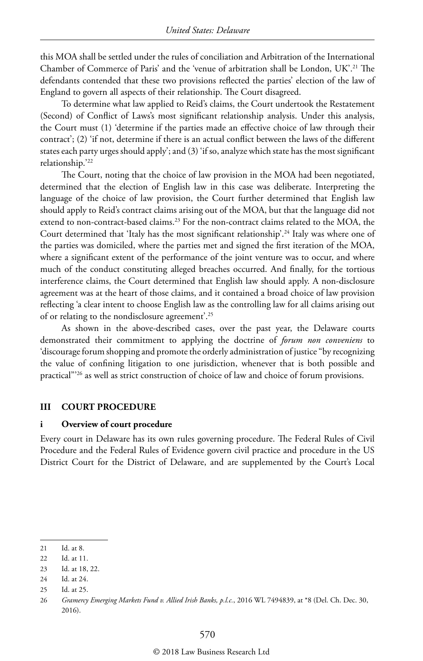this MOA shall be settled under the rules of conciliation and Arbitration of the International Chamber of Commerce of Paris' and the 'venue of arbitration shall be London, UK'.21 The defendants contended that these two provisions reflected the parties' election of the law of England to govern all aspects of their relationship. The Court disagreed.

To determine what law applied to Reid's claims, the Court undertook the Restatement (Second) of Conflict of Laws's most significant relationship analysis. Under this analysis, the Court must (1) 'determine if the parties made an effective choice of law through their contract'; (2) 'if not, determine if there is an actual conflict between the laws of the different states each party urges should apply'; and (3) 'if so, analyze which state has the most significant relationship.'22

The Court, noting that the choice of law provision in the MOA had been negotiated, determined that the election of English law in this case was deliberate. Interpreting the language of the choice of law provision, the Court further determined that English law should apply to Reid's contract claims arising out of the MOA, but that the language did not extend to non-contract-based claims.<sup>23</sup> For the non-contract claims related to the MOA, the Court determined that 'Italy has the most significant relationship'.<sup>24</sup> Italy was where one of the parties was domiciled, where the parties met and signed the first iteration of the MOA, where a significant extent of the performance of the joint venture was to occur, and where much of the conduct constituting alleged breaches occurred. And finally, for the tortious interference claims, the Court determined that English law should apply. A non-disclosure agreement was at the heart of those claims, and it contained a broad choice of law provision reflecting 'a clear intent to choose English law as the controlling law for all claims arising out of or relating to the nondisclosure agreement'.25

As shown in the above-described cases, over the past year, the Delaware courts demonstrated their commitment to applying the doctrine of *forum non conveniens* to 'discourage forum shopping and promote the orderly administration of justice "by recognizing the value of confining litigation to one jurisdiction, whenever that is both possible and practical"'26 as well as strict construction of choice of law and choice of forum provisions.

#### **III COURT PROCEDURE**

#### **i Overview of court procedure**

Every court in Delaware has its own rules governing procedure. The Federal Rules of Civil Procedure and the Federal Rules of Evidence govern civil practice and procedure in the US District Court for the District of Delaware, and are supplemented by the Court's Local

<sup>21</sup> Id. at 8.

<sup>22</sup> Id. at 11.

<sup>23</sup> Id. at 18, 22.

<sup>24</sup> Id. at 24.

<sup>25</sup> Id. at 25.

<sup>26</sup> *Gramercy Emerging Markets Fund v. Allied Irish Banks, p.l.c.*, 2016 WL 7494839, at \*8 (Del. Ch. Dec. 30, 2016).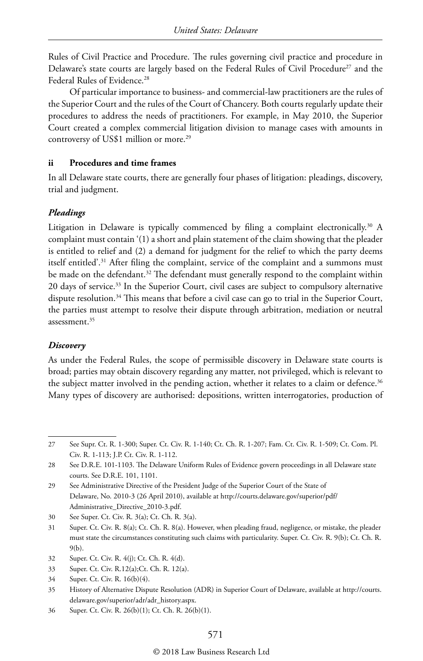Rules of Civil Practice and Procedure. The rules governing civil practice and procedure in Delaware's state courts are largely based on the Federal Rules of Civil Procedure<sup>27</sup> and the Federal Rules of Evidence.<sup>28</sup>

Of particular importance to business- and commercial-law practitioners are the rules of the Superior Court and the rules of the Court of Chancery. Both courts regularly update their procedures to address the needs of practitioners. For example, in May 2010, the Superior Court created a complex commercial litigation division to manage cases with amounts in controversy of US\$1 million or more.<sup>29</sup>

#### **ii Procedures and time frames**

In all Delaware state courts, there are generally four phases of litigation: pleadings, discovery, trial and judgment.

#### *Pleadings*

Litigation in Delaware is typically commenced by filing a complaint electronically.<sup>30</sup> A complaint must contain '(1) a short and plain statement of the claim showing that the pleader is entitled to relief and (2) a demand for judgment for the relief to which the party deems itself entitled'.31 After filing the complaint, service of the complaint and a summons must be made on the defendant.<sup>32</sup> The defendant must generally respond to the complaint within 20 days of service.33 In the Superior Court, civil cases are subject to compulsory alternative dispute resolution.<sup>34</sup> This means that before a civil case can go to trial in the Superior Court, the parties must attempt to resolve their dispute through arbitration, mediation or neutral assessment.<sup>35</sup>

#### *Discovery*

As under the Federal Rules, the scope of permissible discovery in Delaware state courts is broad; parties may obtain discovery regarding any matter, not privileged, which is relevant to the subject matter involved in the pending action, whether it relates to a claim or defence.<sup>36</sup> Many types of discovery are authorised: depositions, written interrogatories, production of

36 Super. Ct. Civ. R. 26(b)(1); Ct. Ch. R. 26(b)(1).

<sup>27</sup> See Supr. Ct. R. 1-300; Super. Ct. Civ. R. 1-140; Ct. Ch. R. 1-207; Fam. Ct. Civ. R. 1-509; Ct. Com. Pl. Civ. R. 1-113; J.P. Ct. Civ. R. 1-112.

<sup>28</sup> See D.R.E. 101-1103. The Delaware Uniform Rules of Evidence govern proceedings in all Delaware state courts. See D.R.E. 101, 1101.

<sup>29</sup> See Administrative Directive of the President Judge of the Superior Court of the State of Delaware, No. 2010-3 (26 April 2010), available at http://courts.delaware.gov/superior/pdf/ Administrative\_Directive\_2010-3.pdf.

<sup>30</sup> See Super. Ct. Civ. R. 3(a); Ct. Ch. R. 3(a).

<sup>31</sup> Super. Ct. Civ. R. 8(a); Ct. Ch. R. 8(a). However, when pleading fraud, negligence, or mistake, the pleader must state the circumstances constituting such claims with particularity. Super. Ct. Civ. R. 9(b); Ct. Ch. R. 9(b).

<sup>32</sup> Super. Ct. Civ. R. 4(j); Ct. Ch. R. 4(d).

<sup>33</sup> Super. Ct. Civ. R.12(a);Ct. Ch. R. 12(a).

<sup>34</sup> Super. Ct. Civ. R. 16(b)(4).

<sup>35</sup> History of Alternative Dispute Resolution (ADR) in Superior Court of Delaware, available at http://courts. delaware.gov/superior/adr/adr\_history.aspx.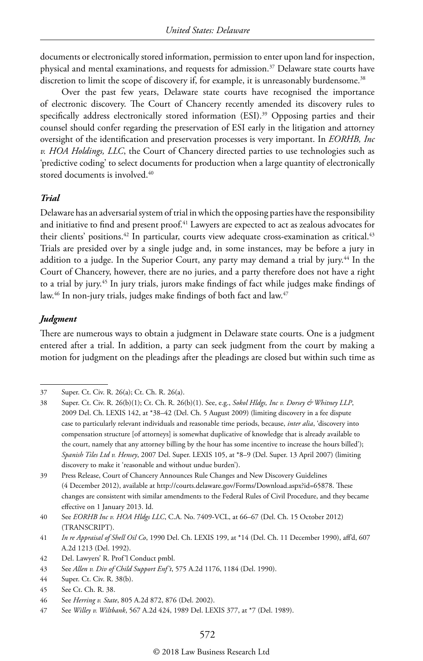documents or electronically stored information, permission to enter upon land for inspection, physical and mental examinations, and requests for admission.37 Delaware state courts have discretion to limit the scope of discovery if, for example, it is unreasonably burdensome.<sup>38</sup>

Over the past few years, Delaware state courts have recognised the importance of electronic discovery. The Court of Chancery recently amended its discovery rules to specifically address electronically stored information (ESI).<sup>39</sup> Opposing parties and their counsel should confer regarding the preservation of ESI early in the litigation and attorney oversight of the identification and preservation processes is very important. In *EORHB, Inc v. HOA Holdings, LLC*, the Court of Chancery directed parties to use technologies such as 'predictive coding' to select documents for production when a large quantity of electronically stored documents is involved.<sup>40</sup>

#### *Trial*

Delaware has an adversarial system of trial in which the opposing parties have the responsibility and initiative to find and present proof.<sup>41</sup> Lawyers are expected to act as zealous advocates for their clients' positions.<sup>42</sup> In particular, courts view adequate cross-examination as critical.<sup>43</sup> Trials are presided over by a single judge and, in some instances, may be before a jury in addition to a judge. In the Superior Court, any party may demand a trial by jury.<sup>44</sup> In the Court of Chancery, however, there are no juries, and a party therefore does not have a right to a trial by jury.45 In jury trials, jurors make findings of fact while judges make findings of law.<sup>46</sup> In non-jury trials, judges make findings of both fact and law.<sup>47</sup>

#### *Judgment*

There are numerous ways to obtain a judgment in Delaware state courts. One is a judgment entered after a trial. In addition, a party can seek judgment from the court by making a motion for judgment on the pleadings after the pleadings are closed but within such time as

<sup>37</sup> Super. Ct. Civ. R. 26(a); Ct. Ch. R. 26(a).

<sup>38</sup> Super. Ct. Civ. R. 26(b)(1); Ct. Ch. R. 26(b)(1). See, e.g., *Sokol Hldgs, Inc v. Dorsey & Whitney LLP*, 2009 Del. Ch. LEXIS 142, at \*38–42 (Del. Ch. 5 August 2009) (limiting discovery in a fee dispute case to particularly relevant individuals and reasonable time periods, because, *inter alia*, 'discovery into compensation structure [of attorneys] is somewhat duplicative of knowledge that is already available to the court, namely that any attorney billing by the hour has some incentive to increase the hours billed'); *Spanish Tiles Ltd v. Hensey*, 2007 Del. Super. LEXIS 105, at \*8–9 (Del. Super. 13 April 2007) (limiting discovery to make it 'reasonable and without undue burden').

<sup>39</sup> Press Release, Court of Chancery Announces Rule Changes and New Discovery Guidelines (4 December 2012), available at http://courts.delaware.gov/Forms/Download.aspx?id=65878. These changes are consistent with similar amendments to the Federal Rules of Civil Procedure, and they became effective on 1 January 2013. Id.

<sup>40</sup> See *EORHB Inc v. HOA Hldgs LLC*, C.A. No. 7409-VCL, at 66–67 (Del. Ch. 15 October 2012) (TRANSCRIPT).

<sup>41</sup> *In re Appraisal of Shell Oil Co*, 1990 Del. Ch. LEXIS 199, at \*14 (Del. Ch. 11 December 1990), aff'd, 607 A.2d 1213 (Del. 1992).

<sup>42</sup> Del. Lawyers' R. Prof'l Conduct pmbl.

<sup>43</sup> See *Allen v. Div of Child Support Enf't*, 575 A.2d 1176, 1184 (Del. 1990).

<sup>44</sup> Super. Ct. Civ. R. 38(b).

<sup>45</sup> See Ct. Ch. R. 38.

<sup>46</sup> See *Herring v. State*, 805 A.2d 872, 876 (Del. 2002).

<sup>47</sup> See *Willey v. Wiltbank*, 567 A.2d 424, 1989 Del. LEXIS 377, at \*7 (Del. 1989).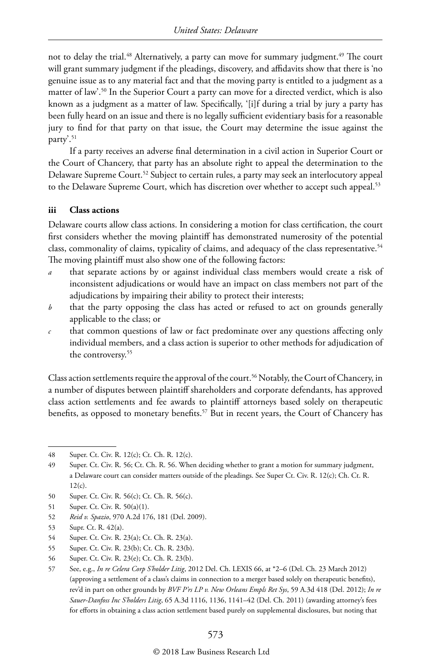not to delay the trial.<sup>48</sup> Alternatively, a party can move for summary judgment.<sup>49</sup> The court will grant summary judgment if the pleadings, discovery, and affidavits show that there is 'no genuine issue as to any material fact and that the moving party is entitled to a judgment as a matter of law'.50 In the Superior Court a party can move for a directed verdict, which is also known as a judgment as a matter of law. Specifically, '[i]f during a trial by jury a party has been fully heard on an issue and there is no legally sufficient evidentiary basis for a reasonable jury to find for that party on that issue, the Court may determine the issue against the party'.<sup>51</sup>

If a party receives an adverse final determination in a civil action in Superior Court or the Court of Chancery, that party has an absolute right to appeal the determination to the Delaware Supreme Court.<sup>52</sup> Subject to certain rules, a party may seek an interlocutory appeal to the Delaware Supreme Court, which has discretion over whether to accept such appeal.<sup>53</sup>

#### **iii Class actions**

Delaware courts allow class actions. In considering a motion for class certification, the court first considers whether the moving plaintiff has demonstrated numerosity of the potential class, commonality of claims, typicality of claims, and adequacy of the class representative.<sup>54</sup> The moving plaintiff must also show one of the following factors:

- that separate actions by or against individual class members would create a risk of inconsistent adjudications or would have an impact on class members not part of the adjudications by impairing their ability to protect their interests;
- *b* that the party opposing the class has acted or refused to act on grounds generally applicable to the class; or
- *c* that common questions of law or fact predominate over any questions affecting only individual members, and a class action is superior to other methods for adjudication of the controversy.<sup>55</sup>

Class action settlements require the approval of the court.<sup>56</sup> Notably, the Court of Chancery, in a number of disputes between plaintiff shareholders and corporate defendants, has approved class action settlements and fee awards to plaintiff attorneys based solely on therapeutic benefits, as opposed to monetary benefits.<sup>57</sup> But in recent years, the Court of Chancery has

<sup>48</sup> Super. Ct. Civ. R. 12(c); Ct. Ch. R. 12(c).

<sup>49</sup> Super. Ct. Civ. R. 56; Ct. Ch. R. 56. When deciding whether to grant a motion for summary judgment, a Delaware court can consider matters outside of the pleadings. See Super Ct. Civ. R. 12(c); Ch. Ct. R.  $12(c)$ .

<sup>50</sup> Super. Ct. Civ. R. 56(c); Ct. Ch. R. 56(c).

<sup>51</sup> Super. Ct. Civ. R. 50(a)(1).

<sup>52</sup> *Reid v. Spazio*, 970 A.2d 176, 181 (Del. 2009).

<sup>53</sup> Supr. Ct. R. 42(a).

<sup>54</sup> Super. Ct. Civ. R. 23(a); Ct. Ch. R. 23(a).

<sup>55</sup> Super. Ct. Civ. R. 23(b); Ct. Ch. R. 23(b).

<sup>56</sup> Super. Ct. Civ. R. 23(e); Ct. Ch. R. 23(b).

<sup>57</sup> See, e.g., *In re Celera Corp S'holder Litig*, 2012 Del. Ch. LEXIS 66, at \*2–6 (Del. Ch. 23 March 2012) (approving a settlement of a class's claims in connection to a merger based solely on therapeutic benefits), rev'd in part on other grounds by *BVF P'rs LP v. New Orleans Empls Ret Sys*, 59 A.3d 418 (Del. 2012); *In re Sauer-Danfoss Inc S'holders Litig*, 65 A.3d 1116, 1136, 1141–42 (Del. Ch. 2011) (awarding attorney's fees for efforts in obtaining a class action settlement based purely on supplemental disclosures, but noting that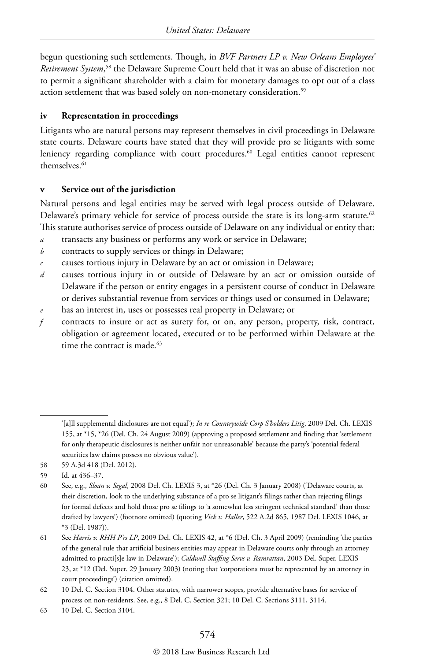begun questioning such settlements. Though, in *BVF Partners LP v. New Orleans Employees' Retirement System*, 58 the Delaware Supreme Court held that it was an abuse of discretion not to permit a significant shareholder with a claim for monetary damages to opt out of a class action settlement that was based solely on non-monetary consideration.<sup>59</sup>

#### **iv Representation in proceedings**

Litigants who are natural persons may represent themselves in civil proceedings in Delaware state courts. Delaware courts have stated that they will provide pro se litigants with some leniency regarding compliance with court procedures.<sup>60</sup> Legal entities cannot represent themselves.<sup>61</sup>

#### **v Service out of the jurisdiction**

Natural persons and legal entities may be served with legal process outside of Delaware. Delaware's primary vehicle for service of process outside the state is its long-arm statute.<sup>62</sup> This statute authorises service of process outside of Delaware on any individual or entity that:

- *a* transacts any business or performs any work or service in Delaware;
- *b* contracts to supply services or things in Delaware;
- *c* causes tortious injury in Delaware by an act or omission in Delaware;
- *d* causes tortious injury in or outside of Delaware by an act or omission outside of Delaware if the person or entity engages in a persistent course of conduct in Delaware or derives substantial revenue from services or things used or consumed in Delaware;
- *e* has an interest in, uses or possesses real property in Delaware; or
- *f* contracts to insure or act as surety for, or on, any person, property, risk, contract, obligation or agreement located, executed or to be performed within Delaware at the time the contract is made.<sup>63</sup>

63 10 Del. C. Section 3104.

<sup>&#</sup>x27;[a]ll supplemental disclosures are not equal'); *In re Countrywide Corp S'holders Litig*, 2009 Del. Ch. LEXIS 155, at \*15, \*26 (Del. Ch. 24 August 2009) (approving a proposed settlement and finding that 'settlement for only therapeutic disclosures is neither unfair nor unreasonable' because the party's 'potential federal securities law claims possess no obvious value').

<sup>58</sup> 59 A.3d 418 (Del. 2012).

<sup>59</sup> Id. at 436–37.

<sup>60</sup> See, e.g., *Sloan v. Segal*, 2008 Del. Ch. LEXIS 3, at \*26 (Del. Ch. 3 January 2008) ('Delaware courts, at their discretion, look to the underlying substance of a pro se litigant's filings rather than rejecting filings for formal defects and hold those pro se filings to 'a somewhat less stringent technical standard' than those drafted by lawyers') (footnote omitted) (quoting *Vick v. Haller*, 522 A.2d 865, 1987 Del. LEXIS 1046, at \*3 (Del. 1987)).

<sup>61</sup> See *Harris v. RHH P'rs LP*, 2009 Del. Ch. LEXIS 42, at \*6 (Del. Ch. 3 April 2009) (reminding 'the parties of the general rule that artificial business entities may appear in Delaware courts only through an attorney admitted to practi[s]e law in Delaware'); *Caldwell Staffing Servs v. Ramrattan*, 2003 Del. Super. LEXIS 23, at \*12 (Del. Super. 29 January 2003) (noting that 'corporations must be represented by an attorney in court proceedings') (citation omitted).

<sup>62</sup> 10 Del. C. Section 3104. Other statutes, with narrower scopes, provide alternative bases for service of process on non-residents. See, e.g., 8 Del. C. Section 321; 10 Del. C. Sections 3111, 3114.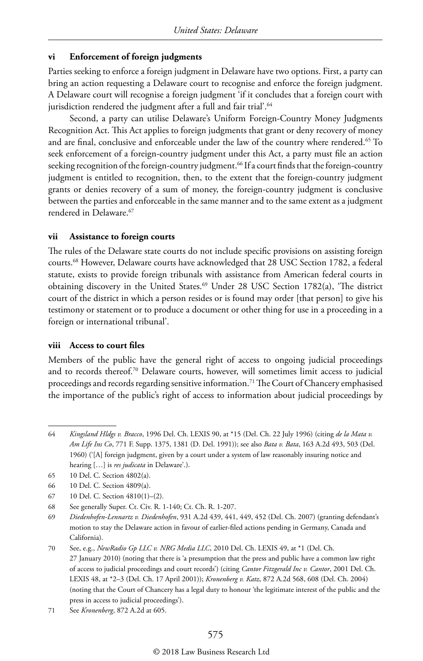#### **vi Enforcement of foreign judgments**

Parties seeking to enforce a foreign judgment in Delaware have two options. First, a party can bring an action requesting a Delaware court to recognise and enforce the foreign judgment. A Delaware court will recognise a foreign judgment 'if it concludes that a foreign court with jurisdiction rendered the judgment after a full and fair trial'.<sup>64</sup>

Second, a party can utilise Delaware's Uniform Foreign-Country Money Judgments Recognition Act. This Act applies to foreign judgments that grant or deny recovery of money and are final, conclusive and enforceable under the law of the country where rendered.<sup>65</sup> To seek enforcement of a foreign-country judgment under this Act, a party must file an action seeking recognition of the foreign-country judgment.<sup>66</sup> If a court finds that the foreign-country judgment is entitled to recognition, then, to the extent that the foreign-country judgment grants or denies recovery of a sum of money, the foreign-country judgment is conclusive between the parties and enforceable in the same manner and to the same extent as a judgment rendered in Delaware.<sup>67</sup>

#### **vii Assistance to foreign courts**

The rules of the Delaware state courts do not include specific provisions on assisting foreign courts.68 However, Delaware courts have acknowledged that 28 USC Section 1782, a federal statute, exists to provide foreign tribunals with assistance from American federal courts in obtaining discovery in the United States.<sup>69</sup> Under 28 USC Section 1782(a), 'The district court of the district in which a person resides or is found may order [that person] to give his testimony or statement or to produce a document or other thing for use in a proceeding in a foreign or international tribunal'.

#### **viii Access to court files**

Members of the public have the general right of access to ongoing judicial proceedings and to records thereof.70 Delaware courts, however, will sometimes limit access to judicial proceedings and records regarding sensitive information.<sup>71</sup> The Court of Chancery emphasised the importance of the public's right of access to information about judicial proceedings by

- 67 10 Del. C. Section 4810(1)–(2).
- 68 See generally Super. Ct. Civ. R. 1-140; Ct. Ch. R. 1-207.

69 *Diedenhofen-Lennartz v. Diedenhofen*, 931 A.2d 439, 441, 449, 452 (Del. Ch. 2007) (granting defendant's motion to stay the Delaware action in favour of earlier-filed actions pending in Germany, Canada and California).

<sup>64</sup> *Kingsland Hldgs v. Bracco*, 1996 Del. Ch. LEXIS 90, at \*15 (Del. Ch. 22 July 1996) (citing *de la Mata v. Am Life Ins Co*, 771 F. Supp. 1375, 1381 (D. Del. 1991)); see also *Bata v. Bata*, 163 A.2d 493, 503 (Del. 1960) ('[A] foreign judgment, given by a court under a system of law reasonably insuring notice and hearing […] is *res judicata* in Delaware'.).

<sup>65</sup> 10 Del. C. Section 4802(a).

<sup>66</sup> 10 Del. C. Section 4809(a).

<sup>70</sup> See, e.g., *NewRadio Gp LLC v. NRG Media LLC*, 2010 Del. Ch. LEXIS 49, at \*1 (Del. Ch. 27 January 2010) (noting that there is 'a presumption that the press and public have a common law right of access to judicial proceedings and court records') (citing *Cantor Fitzgerald Inc v. Cantor*, 2001 Del. Ch. LEXIS 48, at \*2–3 (Del. Ch. 17 April 2001)); *Kronenberg v. Katz*, 872 A.2d 568, 608 (Del. Ch. 2004) (noting that the Court of Chancery has a legal duty to honour 'the legitimate interest of the public and the press in access to judicial proceedings').

<sup>71</sup> See *Kronenberg*, 872 A.2d at 605.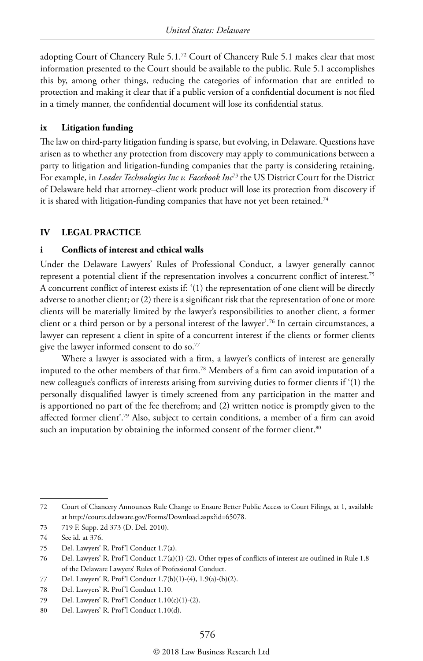adopting Court of Chancery Rule 5.1.72 Court of Chancery Rule 5.1 makes clear that most information presented to the Court should be available to the public. Rule 5.1 accomplishes this by, among other things, reducing the categories of information that are entitled to protection and making it clear that if a public version of a confidential document is not filed in a timely manner, the confidential document will lose its confidential status.

#### **ix Litigation funding**

The law on third-party litigation funding is sparse, but evolving, in Delaware. Questions have arisen as to whether any protection from discovery may apply to communications between a party to litigation and litigation-funding companies that the party is considering retaining. For example, in *Leader Technologies Inc v. Facebook Inc*73 the US District Court for the District of Delaware held that attorney–client work product will lose its protection from discovery if it is shared with litigation-funding companies that have not yet been retained.<sup>74</sup>

#### **IV LEGAL PRACTICE**

#### **i Conflicts of interest and ethical walls**

Under the Delaware Lawyers' Rules of Professional Conduct, a lawyer generally cannot represent a potential client if the representation involves a concurrent conflict of interest.<sup>75</sup> A concurrent conflict of interest exists if: '(1) the representation of one client will be directly adverse to another client; or (2) there is a significant risk that the representation of one or more clients will be materially limited by the lawyer's responsibilities to another client, a former client or a third person or by a personal interest of the lawyer'.76 In certain circumstances, a lawyer can represent a client in spite of a concurrent interest if the clients or former clients give the lawyer informed consent to do so.<sup>77</sup>

Where a lawyer is associated with a firm, a lawyer's conflicts of interest are generally imputed to the other members of that firm.78 Members of a firm can avoid imputation of a new colleague's conflicts of interests arising from surviving duties to former clients if '(1) the personally disqualified lawyer is timely screened from any participation in the matter and is apportioned no part of the fee therefrom; and (2) written notice is promptly given to the affected former client'.79 Also, subject to certain conditions, a member of a firm can avoid such an imputation by obtaining the informed consent of the former client.<sup>80</sup>

<sup>72</sup> Court of Chancery Announces Rule Change to Ensure Better Public Access to Court Filings, at 1, available at http://courts.delaware.gov/Forms/Download.aspx?id=65078.

<sup>73</sup> 719 F. Supp. 2d 373 (D. Del. 2010).

<sup>74</sup> See id. at 376.

<sup>75</sup> Del. Lawyers' R. Prof'l Conduct 1.7(a).

<sup>76</sup> Del. Lawyers' R. Prof'l Conduct 1.7(a)(1)-(2). Other types of conflicts of interest are outlined in Rule 1.8 of the Delaware Lawyers' Rules of Professional Conduct.

<sup>77</sup> Del. Lawyers' R. Prof'l Conduct 1.7(b)(1)-(4), 1.9(a)-(b)(2).

<sup>78</sup> Del. Lawyers' R. Prof'l Conduct 1.10.

<sup>79</sup> Del. Lawyers' R. Prof'l Conduct 1.10(c)(1)-(2).

<sup>80</sup> Del. Lawyers' R. Prof'l Conduct 1.10(d).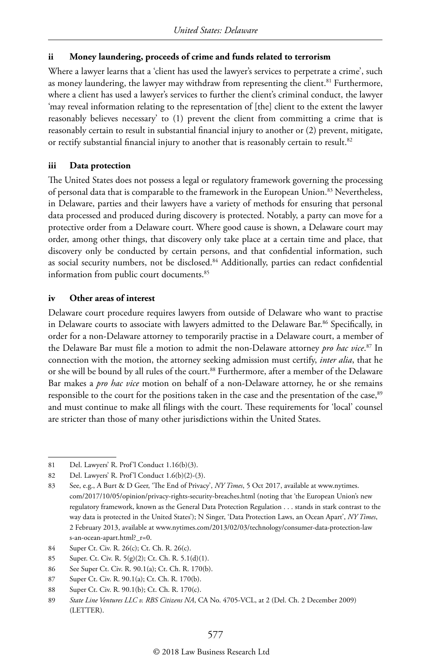#### **ii Money laundering, proceeds of crime and funds related to terrorism**

Where a lawyer learns that a 'client has used the lawyer's services to perpetrate a crime', such as money laundering, the lawyer may withdraw from representing the client.<sup>81</sup> Furthermore, where a client has used a lawyer's services to further the client's criminal conduct, the lawyer 'may reveal information relating to the representation of [the] client to the extent the lawyer reasonably believes necessary' to (1) prevent the client from committing a crime that is reasonably certain to result in substantial financial injury to another or (2) prevent, mitigate, or rectify substantial financial injury to another that is reasonably certain to result.<sup>82</sup>

#### **iii Data protection**

The United States does not possess a legal or regulatory framework governing the processing of personal data that is comparable to the framework in the European Union.<sup>83</sup> Nevertheless, in Delaware, parties and their lawyers have a variety of methods for ensuring that personal data processed and produced during discovery is protected. Notably, a party can move for a protective order from a Delaware court. Where good cause is shown, a Delaware court may order, among other things, that discovery only take place at a certain time and place, that discovery only be conducted by certain persons, and that confidential information, such as social security numbers, not be disclosed.<sup>84</sup> Additionally, parties can redact confidential information from public court documents.<sup>85</sup>

#### **iv Other areas of interest**

Delaware court procedure requires lawyers from outside of Delaware who want to practise in Delaware courts to associate with lawyers admitted to the Delaware Bar.<sup>86</sup> Specifically, in order for a non-Delaware attorney to temporarily practise in a Delaware court, a member of the Delaware Bar must file a motion to admit the non-Delaware attorney *pro hac vice*. 87 In connection with the motion, the attorney seeking admission must certify, *inter alia*, that he or she will be bound by all rules of the court.<sup>88</sup> Furthermore, after a member of the Delaware Bar makes a *pro hac vice* motion on behalf of a non-Delaware attorney, he or she remains responsible to the court for the positions taken in the case and the presentation of the case,<sup>89</sup> and must continue to make all filings with the court. These requirements for 'local' counsel are stricter than those of many other jurisdictions within the United States.

<sup>81</sup> Del. Lawyers' R. Prof'l Conduct 1.16(b)(3).

<sup>82</sup> Del. Lawyers' R. Prof'l Conduct 1.6(b)(2)-(3).

<sup>83</sup> See, e.g., A Burt & D Geer, 'The End of Privacy', *NY Times*, 5 Oct 2017, available at www.nytimes. com/2017/10/05/opinion/privacy-rights-security-breaches.html (noting that 'the European Union's new regulatory framework, known as the General Data Protection Regulation . . . stands in stark contrast to the way data is protected in the United States'); N Singer, 'Data Protection Laws, an Ocean Apart', *NY Times*, 2 February 2013, available at www.nytimes.com/2013/02/03/technology/consumer-data-protection-law s-an-ocean-apart.html?\_r=0.

<sup>84</sup> Super Ct. Civ. R. 26(c); Ct. Ch. R. 26(c).

<sup>85</sup> Super. Ct. Civ. R. 5(g)(2); Ct. Ch. R. 5.1(d)(1).

<sup>86</sup> See Super Ct. Civ. R. 90.1(a); Ct. Ch. R. 170(b).

<sup>87</sup> Super Ct. Civ. R. 90.1(a); Ct. Ch. R. 170(b).

<sup>88</sup> Super Ct. Civ. R. 90.1(b); Ct. Ch. R. 170(c).

<sup>89</sup> *State Line Ventures LLC v. RBS Citizens NA*, CA No. 4705-VCL, at 2 (Del. Ch. 2 December 2009) (LETTER).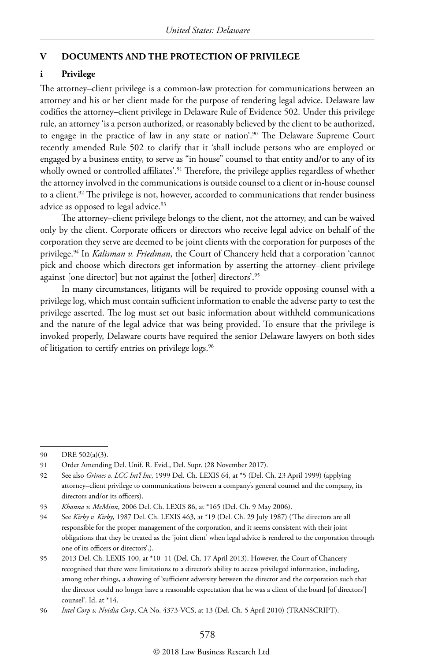#### **V DOCUMENTS AND THE PROTECTION OF PRIVILEGE**

#### **i Privilege**

The attorney–client privilege is a common-law protection for communications between an attorney and his or her client made for the purpose of rendering legal advice. Delaware law codifies the attorney–client privilege in Delaware Rule of Evidence 502. Under this privilege rule, an attorney 'is a person authorized, or reasonably believed by the client to be authorized, to engage in the practice of law in any state or nation'.90 The Delaware Supreme Court recently amended Rule 502 to clarify that it 'shall include persons who are employed or engaged by a business entity, to serve as "in house" counsel to that entity and/or to any of its wholly owned or controlled affiliates'.<sup>91</sup> Therefore, the privilege applies regardless of whether the attorney involved in the communications is outside counsel to a client or in-house counsel to a client.<sup>92</sup> The privilege is not, however, accorded to communications that render business advice as opposed to legal advice.<sup>93</sup>

The attorney–client privilege belongs to the client, not the attorney, and can be waived only by the client. Corporate officers or directors who receive legal advice on behalf of the corporation they serve are deemed to be joint clients with the corporation for purposes of the privilege.94 In *Kalisman v. Friedman*, the Court of Chancery held that a corporation 'cannot pick and choose which directors get information by asserting the attorney–client privilege against [one director] but not against the [other] directors'.95

In many circumstances, litigants will be required to provide opposing counsel with a privilege log, which must contain sufficient information to enable the adverse party to test the privilege asserted. The log must set out basic information about withheld communications and the nature of the legal advice that was being provided. To ensure that the privilege is invoked properly, Delaware courts have required the senior Delaware lawyers on both sides of litigation to certify entries on privilege logs.<sup>96</sup>

<sup>90</sup> DRE 502(a)(3).

<sup>91</sup> Order Amending Del. Unif. R. Evid., Del. Supr. (28 November 2017).

<sup>92</sup> See also *Grimes v. LCC Int'l Inc*, 1999 Del. Ch. LEXIS 64, at \*5 (Del. Ch. 23 April 1999) (applying attorney–client privilege to communications between a company's general counsel and the company, its directors and/or its officers).

<sup>93</sup> *Khanna v. McMinn*, 2006 Del. Ch. LEXIS 86, at \*165 (Del. Ch. 9 May 2006).

<sup>94</sup> See *Kirby v. Kirby*, 1987 Del. Ch. LEXIS 463, at \*19 (Del. Ch. 29 July 1987) ('The directors are all responsible for the proper management of the corporation, and it seems consistent with their joint obligations that they be treated as the 'joint client' when legal advice is rendered to the corporation through one of its officers or directors'.).

<sup>95</sup> 2013 Del. Ch. LEXIS 100, at \*10–11 (Del. Ch. 17 April 2013). However, the Court of Chancery recognised that there were limitations to a director's ability to access privileged information, including, among other things, a showing of 'sufficient adversity between the director and the corporation such that the director could no longer have a reasonable expectation that he was a client of the board [of directors'] counsel'. Id. at \*14.

<sup>96</sup> *Intel Corp v. Nvidia Corp*, CA No. 4373-VCS, at 13 (Del. Ch. 5 April 2010) (TRANSCRIPT).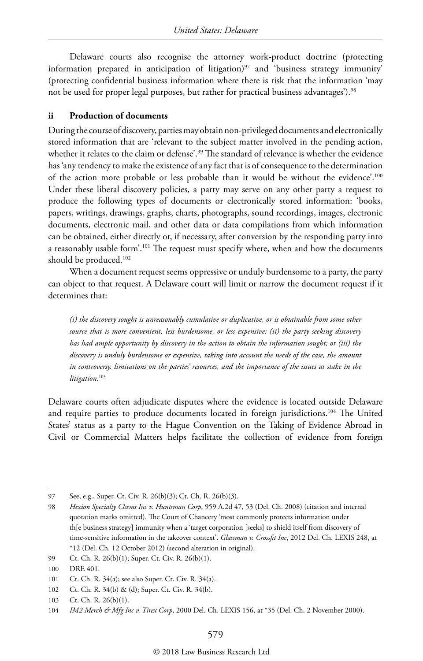Delaware courts also recognise the attorney work-product doctrine (protecting information prepared in anticipation of litigation) $97$  and 'business strategy immunity' (protecting confidential business information where there is risk that the information 'may not be used for proper legal purposes, but rather for practical business advantages').<sup>98</sup>

#### **ii Production of documents**

During the course of discovery, parties may obtain non-privileged documents and electronically stored information that are 'relevant to the subject matter involved in the pending action, whether it relates to the claim or defense'.<sup>99</sup> The standard of relevance is whether the evidence has 'any tendency to make the existence of any fact that is of consequence to the determination of the action more probable or less probable than it would be without the evidence'.100 Under these liberal discovery policies, a party may serve on any other party a request to produce the following types of documents or electronically stored information: 'books, papers, writings, drawings, graphs, charts, photographs, sound recordings, images, electronic documents, electronic mail, and other data or data compilations from which information can be obtained, either directly or, if necessary, after conversion by the responding party into a reasonably usable form'.<sup>101</sup> The request must specify where, when and how the documents should be produced.<sup>102</sup>

When a document request seems oppressive or unduly burdensome to a party, the party can object to that request. A Delaware court will limit or narrow the document request if it determines that:

*(i) the discovery sought is unreasonably cumulative or duplicative, or is obtainable from some other source that is more convenient, less burdensome, or less expensive; (ii) the party seeking discovery has had ample opportunity by discovery in the action to obtain the information sought; or (iii) the discovery is unduly burdensome or expensive, taking into account the needs of the case, the amount in controversy, limitations on the parties' resources, and the importance of the issues at stake in the litigation.*<sup>103</sup>

Delaware courts often adjudicate disputes where the evidence is located outside Delaware and require parties to produce documents located in foreign jurisdictions.<sup>104</sup> The United States' status as a party to the Hague Convention on the Taking of Evidence Abroad in Civil or Commercial Matters helps facilitate the collection of evidence from foreign

<sup>97</sup> See, e.g., Super. Ct. Civ. R. 26(b)(3); Ct. Ch. R. 26(b)(3).

<sup>98</sup> *Hexion Specialty Chems Inc v. Huntsman Corp*, 959 A.2d 47, 53 (Del. Ch. 2008) (citation and internal quotation marks omitted). The Court of Chancery 'most commonly protects information under th[e business strategy] immunity when a 'target corporation [seeks] to shield itself from discovery of time-sensitive information in the takeover context'. *Glassman v. Crossfit Inc*, 2012 Del. Ch. LEXIS 248, at \*12 (Del. Ch. 12 October 2012) (second alteration in original).

<sup>99</sup> Ct. Ch. R. 26(b)(1); Super. Ct. Civ. R. 26(b)(1).

<sup>100</sup> DRE 401.

<sup>101</sup> Ct. Ch. R. 34(a); see also Super. Ct. Civ. R. 34(a).

<sup>102</sup> Ct. Ch. R. 34(b) & (d); Super. Ct. Civ. R. 34(b).

<sup>103</sup> Ct. Ch. R. 26(b)(1).

<sup>104</sup> *IM2 Merch & Mfg Inc v. Tirex Corp*, 2000 Del. Ch. LEXIS 156, at \*35 (Del. Ch. 2 November 2000).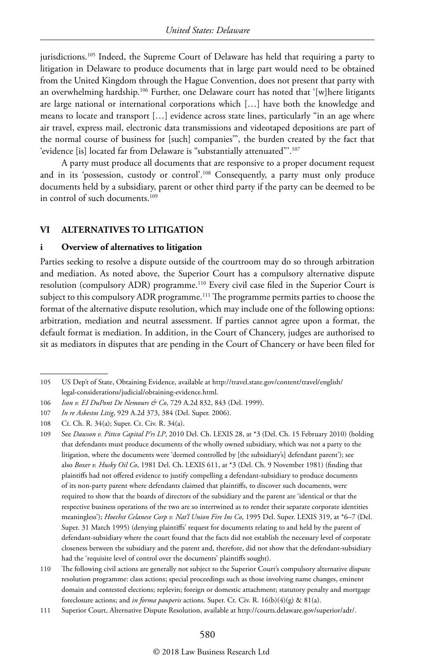jurisdictions.105 Indeed, the Supreme Court of Delaware has held that requiring a party to litigation in Delaware to produce documents that in large part would need to be obtained from the United Kingdom through the Hague Convention, does not present that party with an overwhelming hardship.106 Further, one Delaware court has noted that '[w]here litigants are large national or international corporations which […] have both the knowledge and means to locate and transport […] evidence across state lines, particularly "in an age where air travel, express mail, electronic data transmissions and videotaped depositions are part of the normal course of business for [such] companies''', the burden created by the fact that 'evidence [is] located far from Delaware is "substantially attenuated"'.107

A party must produce all documents that are responsive to a proper document request and in its 'possession, custody or control'.108 Consequently, a party must only produce documents held by a subsidiary, parent or other third party if the party can be deemed to be in control of such documents.<sup>109</sup>

#### **VI ALTERNATIVES TO LITIGATION**

#### **i Overview of alternatives to litigation**

Parties seeking to resolve a dispute outside of the courtroom may do so through arbitration and mediation. As noted above, the Superior Court has a compulsory alternative dispute resolution (compulsory ADR) programme.110 Every civil case filed in the Superior Court is subject to this compulsory ADR programme.<sup>111</sup> The programme permits parties to choose the format of the alternative dispute resolution, which may include one of the following options: arbitration, mediation and neutral assessment. If parties cannot agree upon a format, the default format is mediation. In addition, in the Court of Chancery, judges are authorised to sit as mediators in disputes that are pending in the Court of Chancery or have been filed for

<sup>105</sup> US Dep't of State, Obtaining Evidence, available at http://travel.state.gov/content/travel/english/ legal-considerations/judicial/obtaining-evidence.html.

<sup>106</sup> *Ison v. EI DuPont De Nemours & Co*, 729 A.2d 832, 843 (Del. 1999).

<sup>107</sup> *In re Asbestos Litig*, 929 A.2d 373, 384 (Del. Super. 2006).

<sup>108</sup> Ct. Ch. R. 34(a); Super. Ct. Civ. R. 34(a).

<sup>109</sup> See *Dawson v. Pittco Capital P'rs LP*, 2010 Del. Ch. LEXIS 28, at \*3 (Del. Ch. 15 February 2010) (holding that defendants must produce documents of the wholly owned subsidiary, which was not a party to the litigation, where the documents were 'deemed controlled by [the subsidiary's] defendant parent'); see also *Boxer v. Husky Oil Co*, 1981 Del. Ch. LEXIS 611, at \*3 (Del. Ch. 9 November 1981) (finding that plaintiffs had not offered evidence to justify compelling a defendant-subsidiary to produce documents of its non-party parent where defendants claimed that plaintiffs, to discover such documents, were required to show that the boards of directors of the subsidiary and the parent are 'identical or that the respective business operations of the two are so intertwined as to render their separate corporate identities meaningless'); *Hoechst Celanese Corp v. Nat'l Union Fire Ins Co*, 1995 Del. Super. LEXIS 319, at \*6–7 (Del. Super. 31 March 1995) (denying plaintiffs' request for documents relating to and held by the parent of defendant-subsidiary where the court found that the facts did not establish the necessary level of corporate closeness between the subsidiary and the parent and, therefore, did not show that the defendant-subsidiary had the 'requisite level of control over the documents' plaintiffs sought).

<sup>110</sup> The following civil actions are generally not subject to the Superior Court's compulsory alternative dispute resolution programme: class actions; special proceedings such as those involving name changes, eminent domain and contested elections; replevin; foreign or domestic attachment; statutory penalty and mortgage foreclosure actions; and *in forma pauperis* actions. Super. Ct. Civ. R. 16(b)(4)(g) & 81(a).

<sup>111</sup> Superior Court, Alternative Dispute Resolution, available at http://courts.delaware.gov/superior/adr/.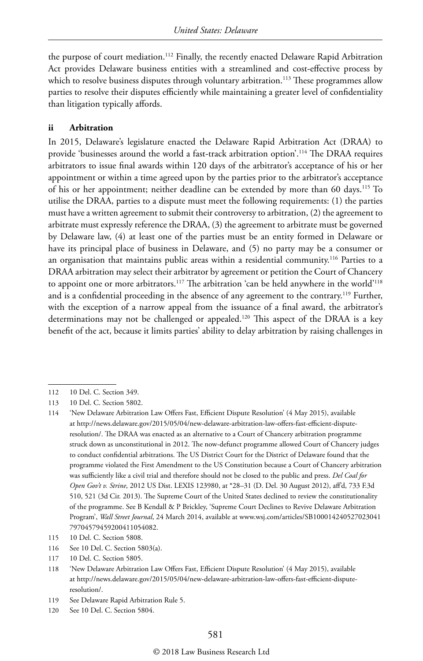the purpose of court mediation.<sup>112</sup> Finally, the recently enacted Delaware Rapid Arbitration Act provides Delaware business entities with a streamlined and cost-effective process by which to resolve business disputes through voluntary arbitration.<sup>113</sup> These programmes allow parties to resolve their disputes efficiently while maintaining a greater level of confidentiality than litigation typically affords.

#### **ii Arbitration**

In 2015, Delaware's legislature enacted the Delaware Rapid Arbitration Act (DRAA) to provide 'businesses around the world a fast-track arbitration option'.114 The DRAA requires arbitrators to issue final awards within 120 days of the arbitrator's acceptance of his or her appointment or within a time agreed upon by the parties prior to the arbitrator's acceptance of his or her appointment; neither deadline can be extended by more than 60 days.115 To utilise the DRAA, parties to a dispute must meet the following requirements: (1) the parties must have a written agreement to submit their controversy to arbitration, (2) the agreement to arbitrate must expressly reference the DRAA, (3) the agreement to arbitrate must be governed by Delaware law, (4) at least one of the parties must be an entity formed in Delaware or have its principal place of business in Delaware, and (5) no party may be a consumer or an organisation that maintains public areas within a residential community.<sup>116</sup> Parties to a DRAA arbitration may select their arbitrator by agreement or petition the Court of Chancery to appoint one or more arbitrators.<sup>117</sup> The arbitration 'can be held anywhere in the world'<sup>118</sup> and is a confidential proceeding in the absence of any agreement to the contrary.<sup>119</sup> Further, with the exception of a narrow appeal from the issuance of a final award, the arbitrator's determinations may not be challenged or appealed.120 This aspect of the DRAA is a key benefit of the act, because it limits parties' ability to delay arbitration by raising challenges in

116 See 10 Del. C. Section 5803(a).

119 See Delaware Rapid Arbitration Rule 5.

<sup>112</sup> 10 Del. C. Section 349.

<sup>113</sup> 10 Del. C. Section 5802.

<sup>114</sup> 'New Delaware Arbitration Law Offers Fast, Efficient Dispute Resolution' (4 May 2015), available at http://news.delaware.gov/2015/05/04/new-delaware-arbitration-law-offers-fast-efficient-disputeresolution/. The DRAA was enacted as an alternative to a Court of Chancery arbitration programme struck down as unconstitutional in 2012. The now-defunct programme allowed Court of Chancery judges to conduct confidential arbitrations. The US District Court for the District of Delaware found that the programme violated the First Amendment to the US Constitution because a Court of Chancery arbitration was sufficiently like a civil trial and therefore should not be closed to the public and press. *Del Coal for Open Gov't v. Strine*, 2012 US Dist. LEXIS 123980, at \*28–31 (D. Del. 30 August 2012), aff'd, 733 F.3d 510, 521 (3d Cir. 2013). The Supreme Court of the United States declined to review the constitutionality of the programme. See B Kendall & P Brickley, 'Supreme Court Declines to Revive Delaware Arbitration Program', *Wall Street Journal*, 24 March 2014, available at www.wsj.com/articles/SB100014240527023041 79704579459200411054082.

<sup>115</sup> 10 Del. C. Section 5808.

<sup>117</sup> 10 Del. C. Section 5805.

<sup>118</sup> 'New Delaware Arbitration Law Offers Fast, Efficient Dispute Resolution' (4 May 2015), available at http://news.delaware.gov/2015/05/04/new-delaware-arbitration-law-offers-fast-efficient-disputeresolution/.

<sup>120</sup> See 10 Del. C. Section 5804.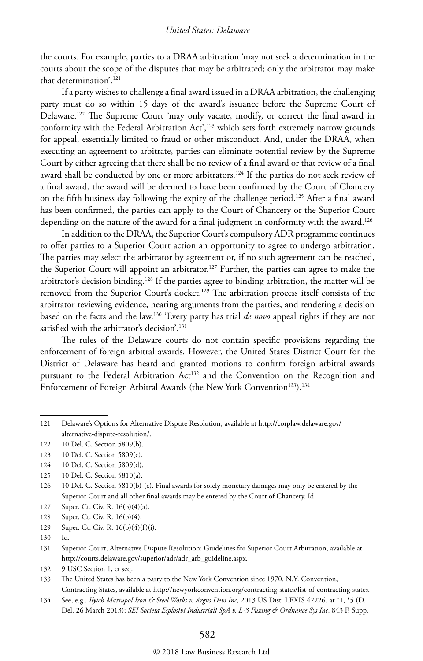the courts. For example, parties to a DRAA arbitration 'may not seek a determination in the courts about the scope of the disputes that may be arbitrated; only the arbitrator may make that determination'.121

If a party wishes to challenge a final award issued in a DRAA arbitration, the challenging party must do so within 15 days of the award's issuance before the Supreme Court of Delaware.122 The Supreme Court 'may only vacate, modify, or correct the final award in conformity with the Federal Arbitration Act',<sup>123</sup> which sets forth extremely narrow grounds for appeal, essentially limited to fraud or other misconduct. And, under the DRAA, when executing an agreement to arbitrate, parties can eliminate potential review by the Supreme Court by either agreeing that there shall be no review of a final award or that review of a final award shall be conducted by one or more arbitrators.<sup>124</sup> If the parties do not seek review of a final award, the award will be deemed to have been confirmed by the Court of Chancery on the fifth business day following the expiry of the challenge period.125 After a final award has been confirmed, the parties can apply to the Court of Chancery or the Superior Court depending on the nature of the award for a final judgment in conformity with the award.<sup>126</sup>

In addition to the DRAA, the Superior Court's compulsory ADR programme continues to offer parties to a Superior Court action an opportunity to agree to undergo arbitration. The parties may select the arbitrator by agreement or, if no such agreement can be reached, the Superior Court will appoint an arbitrator.<sup>127</sup> Further, the parties can agree to make the arbitrator's decision binding.128 If the parties agree to binding arbitration, the matter will be removed from the Superior Court's docket.<sup>129</sup> The arbitration process itself consists of the arbitrator reviewing evidence, hearing arguments from the parties, and rendering a decision based on the facts and the law.130 'Every party has trial *de novo* appeal rights if they are not satisfied with the arbitrator's decision'.<sup>131</sup>

The rules of the Delaware courts do not contain specific provisions regarding the enforcement of foreign arbitral awards. However, the United States District Court for the District of Delaware has heard and granted motions to confirm foreign arbitral awards pursuant to the Federal Arbitration Act<sup>132</sup> and the Convention on the Recognition and Enforcement of Foreign Arbitral Awards (the New York Convention<sup>133</sup>).<sup>134</sup>

- 123 10 Del. C. Section 5809(c).
- 124 10 Del. C. Section 5809(d).
- 125 10 Del. C. Section 5810(a).
- 126 10 Del. C. Section 5810(b)-(c). Final awards for solely monetary damages may only be entered by the Superior Court and all other final awards may be entered by the Court of Chancery. Id.
- 127 Super. Ct. Civ. R. 16(b)(4)(a).
- 128 Super. Ct. Civ. R. 16(b)(4).
- 129 Super. Ct. Civ. R. 16(b)(4)(f)(i).
- 130
- 131 Superior Court, Alternative Dispute Resolution: Guidelines for Superior Court Arbitration, available at http://courts.delaware.gov/superior/adr/adr\_arb\_guideline.aspx.
- 132 9 USC Section 1, et seq.
- 133 The United States has been a party to the New York Convention since 1970. N.Y. Convention, Contracting States, available at http://newyorkconvention.org/contracting-states/list-of-contracting-states.
- 134 See, e.g., *Ilyich Mariupol Iron & Steel Works v. Argus Devs Inc*, 2013 US Dist. LEXIS 42226, at \*1, \*5 (D. Del. 26 March 2013); *SEI Societa Esplosivi Industriali SpA v. L-3 Fuzing & Ordnance Sys Inc*, 843 F. Supp.

<sup>121</sup> Delaware's Options for Alternative Dispute Resolution, available at http://corplaw.delaware.gov/ alternative-dispute-resolution/.

<sup>122</sup> 10 Del. C. Section 5809(b).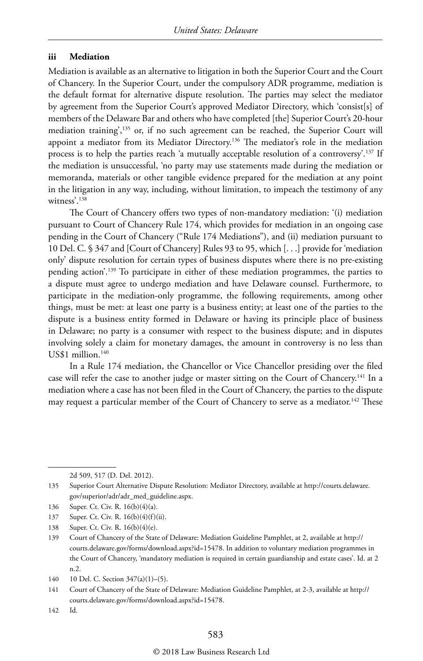#### **iii Mediation**

Mediation is available as an alternative to litigation in both the Superior Court and the Court of Chancery. In the Superior Court, under the compulsory ADR programme, mediation is the default format for alternative dispute resolution. The parties may select the mediator by agreement from the Superior Court's approved Mediator Directory, which 'consist[s] of members of the Delaware Bar and others who have completed [the] Superior Court's 20-hour mediation training', $135$  or, if no such agreement can be reached, the Superior Court will appoint a mediator from its Mediator Directory.<sup>136</sup> The mediator's role in the mediation process is to help the parties reach 'a mutually acceptable resolution of a controversy'.137 If the mediation is unsuccessful, 'no party may use statements made during the mediation or memoranda, materials or other tangible evidence prepared for the mediation at any point in the litigation in any way, including, without limitation, to impeach the testimony of any witness'.138

The Court of Chancery offers two types of non-mandatory mediation: '(i) mediation pursuant to Court of Chancery Rule 174, which provides for mediation in an ongoing case pending in the Court of Chancery ("Rule 174 Mediations"), and (ii) mediation pursuant to 10 Del. C. § 347 and [Court of Chancery] Rules 93 to 95, which [. . .] provide for 'mediation only' dispute resolution for certain types of business disputes where there is no pre-existing pending action'.139 To participate in either of these mediation programmes, the parties to a dispute must agree to undergo mediation and have Delaware counsel. Furthermore, to participate in the mediation-only programme, the following requirements, among other things, must be met: at least one party is a business entity; at least one of the parties to the dispute is a business entity formed in Delaware or having its principle place of business in Delaware; no party is a consumer with respect to the business dispute; and in disputes involving solely a claim for monetary damages, the amount in controversy is no less than US\$1 million.<sup>140</sup>

In a Rule 174 mediation, the Chancellor or Vice Chancellor presiding over the filed case will refer the case to another judge or master sitting on the Court of Chancery.<sup>141</sup> In a mediation where a case has not been filed in the Court of Chancery, the parties to the dispute may request a particular member of the Court of Chancery to serve as a mediator.<sup>142</sup> These

2d 509, 517 (D. Del. 2012).

- 136 Super. Ct. Civ. R. 16(b)(4)(a).
- 137 Super. Ct. Civ. R. 16(b)(4)(f)(ii).
- 138 Super. Ct. Civ. R. 16(b)(4)(e).
- 139 Court of Chancery of the State of Delaware: Mediation Guideline Pamphlet, at 2, available at http:// courts.delaware.gov/forms/download.aspx?id=15478. In addition to voluntary mediation programmes in the Court of Chancery, 'mandatory mediation is required in certain guardianship and estate cases'. Id. at 2 n.2.
- 140 10 Del. C. Section 347(a)(1)–(5).
- 141 Court of Chancery of the State of Delaware: Mediation Guideline Pamphlet, at 2-3, available at http:// courts.delaware.gov/forms/download.aspx?id=15478.
- 142 Id.

<sup>135</sup> Superior Court Alternative Dispute Resolution: Mediator Directory, available at http://courts.delaware. gov/superior/adr/adr\_med\_guideline.aspx.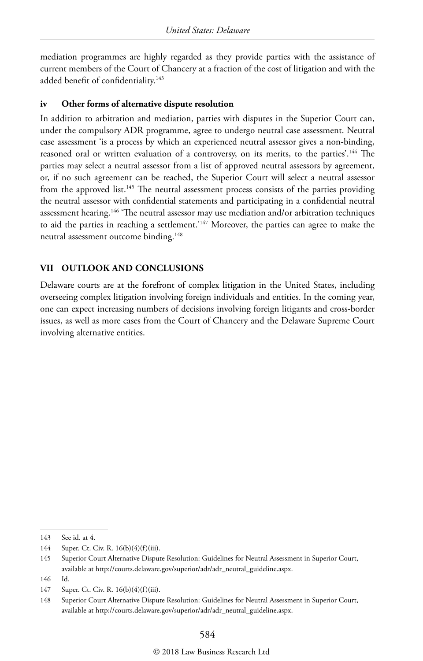mediation programmes are highly regarded as they provide parties with the assistance of current members of the Court of Chancery at a fraction of the cost of litigation and with the added benefit of confidentiality.<sup>143</sup>

#### **iv Other forms of alternative dispute resolution**

In addition to arbitration and mediation, parties with disputes in the Superior Court can, under the compulsory ADR programme, agree to undergo neutral case assessment. Neutral case assessment 'is a process by which an experienced neutral assessor gives a non-binding, reasoned oral or written evaluation of a controversy, on its merits, to the parties'.<sup>144</sup> The parties may select a neutral assessor from a list of approved neutral assessors by agreement, or, if no such agreement can be reached, the Superior Court will select a neutral assessor from the approved list.<sup>145</sup> The neutral assessment process consists of the parties providing the neutral assessor with confidential statements and participating in a confidential neutral assessment hearing.146 'The neutral assessor may use mediation and/or arbitration techniques to aid the parties in reaching a settlement.'147 Moreover, the parties can agree to make the neutral assessment outcome binding.148

#### **VII OUTLOOK AND CONCLUSIONS**

Delaware courts are at the forefront of complex litigation in the United States, including overseeing complex litigation involving foreign individuals and entities. In the coming year, one can expect increasing numbers of decisions involving foreign litigants and cross-border issues, as well as more cases from the Court of Chancery and the Delaware Supreme Court involving alternative entities.

<sup>143</sup> See id. at 4.

<sup>144</sup> Super. Ct. Civ. R. 16(b)(4)(f)(iii).

<sup>145</sup> Superior Court Alternative Dispute Resolution: Guidelines for Neutral Assessment in Superior Court, available at http://courts.delaware.gov/superior/adr/adr\_neutral\_guideline.aspx.

<sup>146</sup> Id.

<sup>147</sup> Super. Ct. Civ. R. 16(b)(4)(f)(iii).

<sup>148</sup> Superior Court Alternative Dispute Resolution: Guidelines for Neutral Assessment in Superior Court, available at http://courts.delaware.gov/superior/adr/adr\_neutral\_guideline.aspx.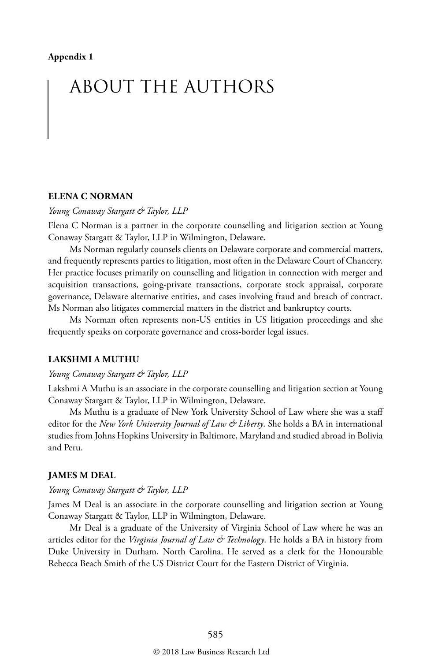## ABOUT THE AUTHORS

#### **ELENA C NORMAN**

*Young Conaway Stargatt & Taylor, LLP*

Elena C Norman is a partner in the corporate counselling and litigation section at Young Conaway Stargatt & Taylor, LLP in Wilmington, Delaware.

Ms Norman regularly counsels clients on Delaware corporate and commercial matters, and frequently represents parties to litigation, most often in the Delaware Court of Chancery. Her practice focuses primarily on counselling and litigation in connection with merger and acquisition transactions, going-private transactions, corporate stock appraisal, corporate governance, Delaware alternative entities, and cases involving fraud and breach of contract. Ms Norman also litigates commercial matters in the district and bankruptcy courts.

Ms Norman often represents non-US entities in US litigation proceedings and she frequently speaks on corporate governance and cross-border legal issues.

#### **LAKSHMI A MUTHU**

#### *Young Conaway Stargatt & Taylor, LLP*

Lakshmi A Muthu is an associate in the corporate counselling and litigation section at Young Conaway Stargatt & Taylor, LLP in Wilmington, Delaware.

Ms Muthu is a graduate of New York University School of Law where she was a staff editor for the *New York University Journal of Law & Liberty*. She holds a BA in international studies from Johns Hopkins University in Baltimore, Maryland and studied abroad in Bolivia and Peru.

#### **JAMES M DEAL**

#### *Young Conaway Stargatt & Taylor, LLP*

James M Deal is an associate in the corporate counselling and litigation section at Young Conaway Stargatt & Taylor, LLP in Wilmington, Delaware.

Mr Deal is a graduate of the University of Virginia School of Law where he was an articles editor for the *Virginia Journal of Law & Technology*. He holds a BA in history from Duke University in Durham, North Carolina. He served as a clerk for the Honourable Rebecca Beach Smith of the US District Court for the Eastern District of Virginia.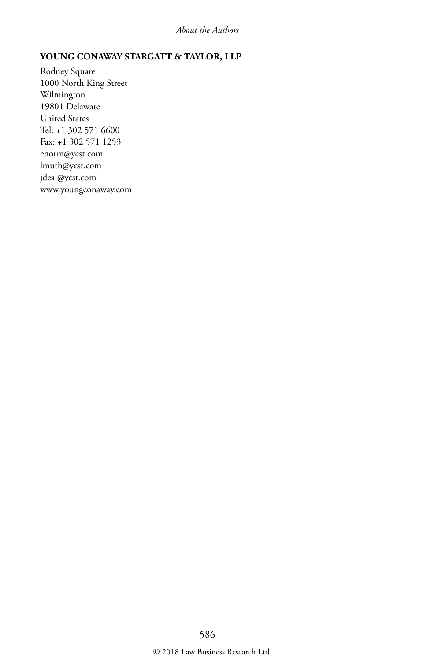#### **YOUNG CONAWAY STARGATT & TAYLOR, LLP**

Rodney Square 1000 North King Street Wilmington 19801 Delaware United States Tel: +1 302 571 6600 Fax: +1 302 571 1253 enorm@ycst.com lmuth@ycst.com jdeal@ycst.com www.youngconaway.com